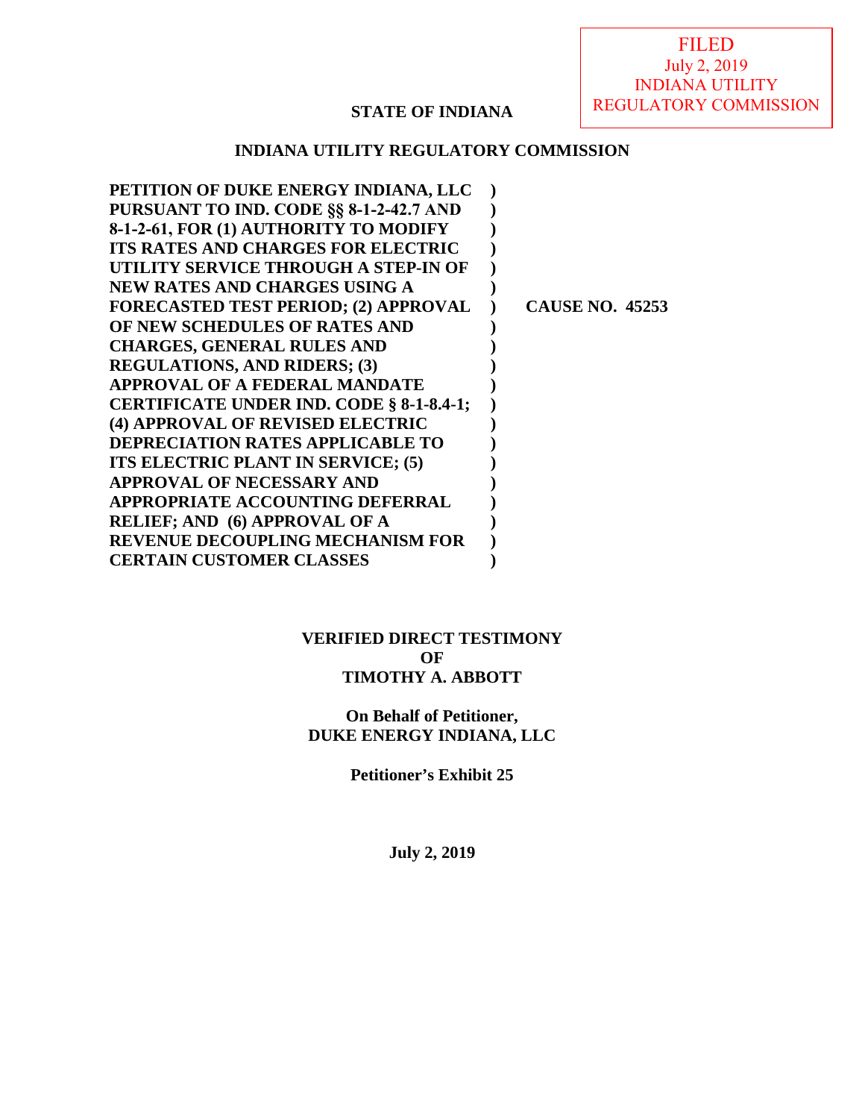FILED July 2, 2019 INDIANA UTILITY REGULATORY COMMISSION

#### **STATE OF INDIANA**

#### **INDIANA UTILITY REGULATORY COMMISSION**

| PETITION OF DUKE ENERGY INDIANA, LLC        |                        |
|---------------------------------------------|------------------------|
| PURSUANT TO IND. CODE §§ 8-1-2-42.7 AND     |                        |
| 8-1-2-61, FOR (1) AUTHORITY TO MODIFY       |                        |
| ITS RATES AND CHARGES FOR ELECTRIC          |                        |
| UTILITY SERVICE THROUGH A STEP-IN OF        |                        |
| NEW RATES AND CHARGES USING A               |                        |
| <b>FORECASTED TEST PERIOD; (2) APPROVAL</b> | <b>CAUSE NO. 45253</b> |
| OF NEW SCHEDULES OF RATES AND               |                        |
| <b>CHARGES, GENERAL RULES AND</b>           |                        |
| <b>REGULATIONS, AND RIDERS; (3)</b>         |                        |
| <b>APPROVAL OF A FEDERAL MANDATE</b>        |                        |
| CERTIFICATE UNDER IND. CODE § 8-1-8.4-1;    |                        |
| (4) APPROVAL OF REVISED ELECTRIC            |                        |
| <b>DEPRECIATION RATES APPLICABLE TO</b>     |                        |
| ITS ELECTRIC PLANT IN SERVICE; (5)          |                        |
| APPROVAL OF NECESSARY AND                   |                        |
| APPROPRIATE ACCOUNTING DEFERRAL             |                        |
| <b>RELIEF; AND (6) APPROVAL OF A</b>        |                        |
| <b>REVENUE DECOUPLING MECHANISM FOR</b>     |                        |
| <b>CERTAIN CUSTOMER CLASSES</b>             |                        |
|                                             |                        |

#### **VERIFIED DIRECT TESTIMONY OF TIMOTHY A. ABBOTT**

#### **On Behalf of Petitioner, DUKE ENERGY INDIANA, LLC**

**Petitioner's Exhibit 25** 

**July 2, 2019**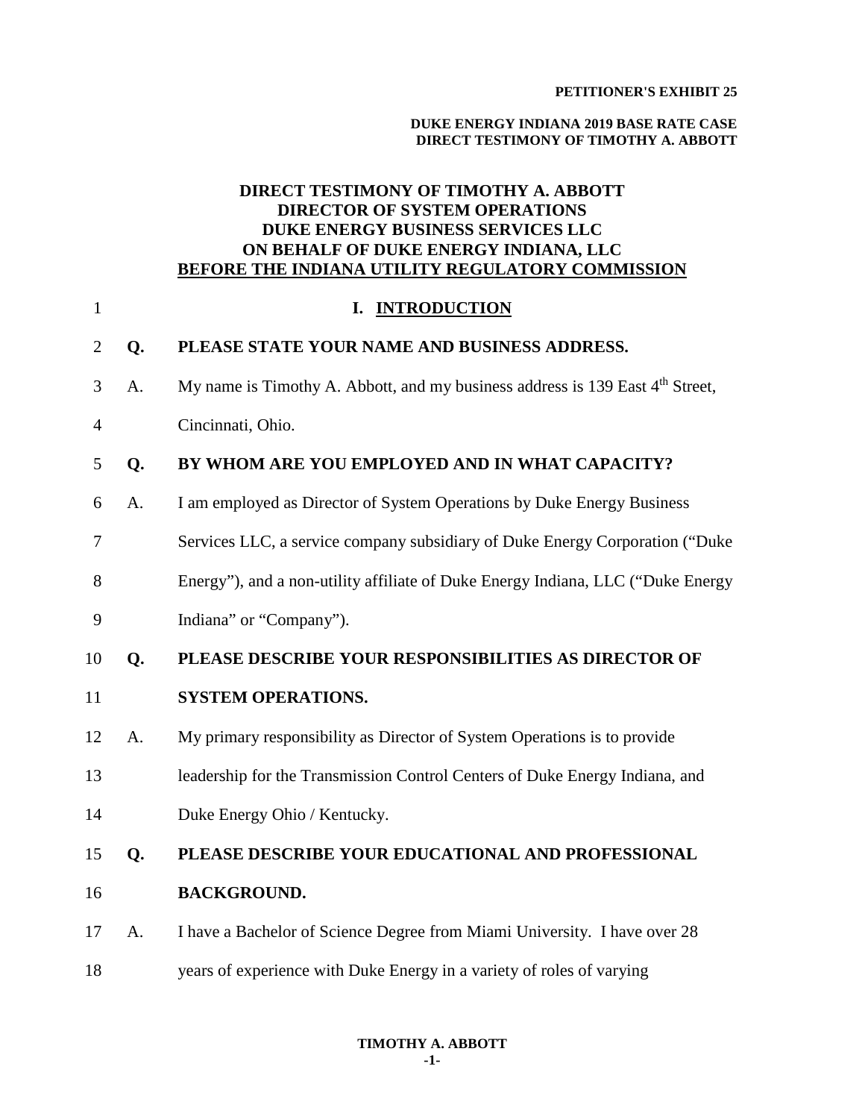#### **PETITIONER'S EXHIBIT 25**

#### **DUKE ENERGY INDIANA 2019 BASE RATE CASE DIRECT TESTIMONY OF TIMOTHY A. ABBOTT**

#### **DIRECT TESTIMONY OF TIMOTHY A. ABBOTT DIRECTOR OF SYSTEM OPERATIONS DUKE ENERGY BUSINESS SERVICES LLC ON BEHALF OF DUKE ENERGY INDIANA, LLC BEFORE THE INDIANA UTILITY REGULATORY COMMISSION**

| $\mathbf{1}$   |    | I. INTRODUCTION                                                                           |
|----------------|----|-------------------------------------------------------------------------------------------|
| $\overline{2}$ | Q. | PLEASE STATE YOUR NAME AND BUSINESS ADDRESS.                                              |
| 3              | A. | My name is Timothy A. Abbott, and my business address is 139 East 4 <sup>th</sup> Street, |
| 4              |    | Cincinnati, Ohio.                                                                         |
| 5              | Q. | BY WHOM ARE YOU EMPLOYED AND IN WHAT CAPACITY?                                            |
| 6              | A. | I am employed as Director of System Operations by Duke Energy Business                    |
| 7              |    | Services LLC, a service company subsidiary of Duke Energy Corporation ("Duke              |
| 8              |    | Energy"), and a non-utility affiliate of Duke Energy Indiana, LLC ("Duke Energy           |
| 9              |    | Indiana" or "Company").                                                                   |
| 10             | Q. | PLEASE DESCRIBE YOUR RESPONSIBILITIES AS DIRECTOR OF                                      |
| 11             |    | <b>SYSTEM OPERATIONS.</b>                                                                 |
| 12             | A. | My primary responsibility as Director of System Operations is to provide                  |
| 13             |    | leadership for the Transmission Control Centers of Duke Energy Indiana, and               |
| 14             |    | Duke Energy Ohio / Kentucky.                                                              |
| 15             | Q. | PLEASE DESCRIBE YOUR EDUCATIONAL AND PROFESSIONAL                                         |
| 16             |    | <b>BACKGROUND.</b>                                                                        |
| 17             | A. | I have a Bachelor of Science Degree from Miami University. I have over 28                 |
| 18             |    | years of experience with Duke Energy in a variety of roles of varying                     |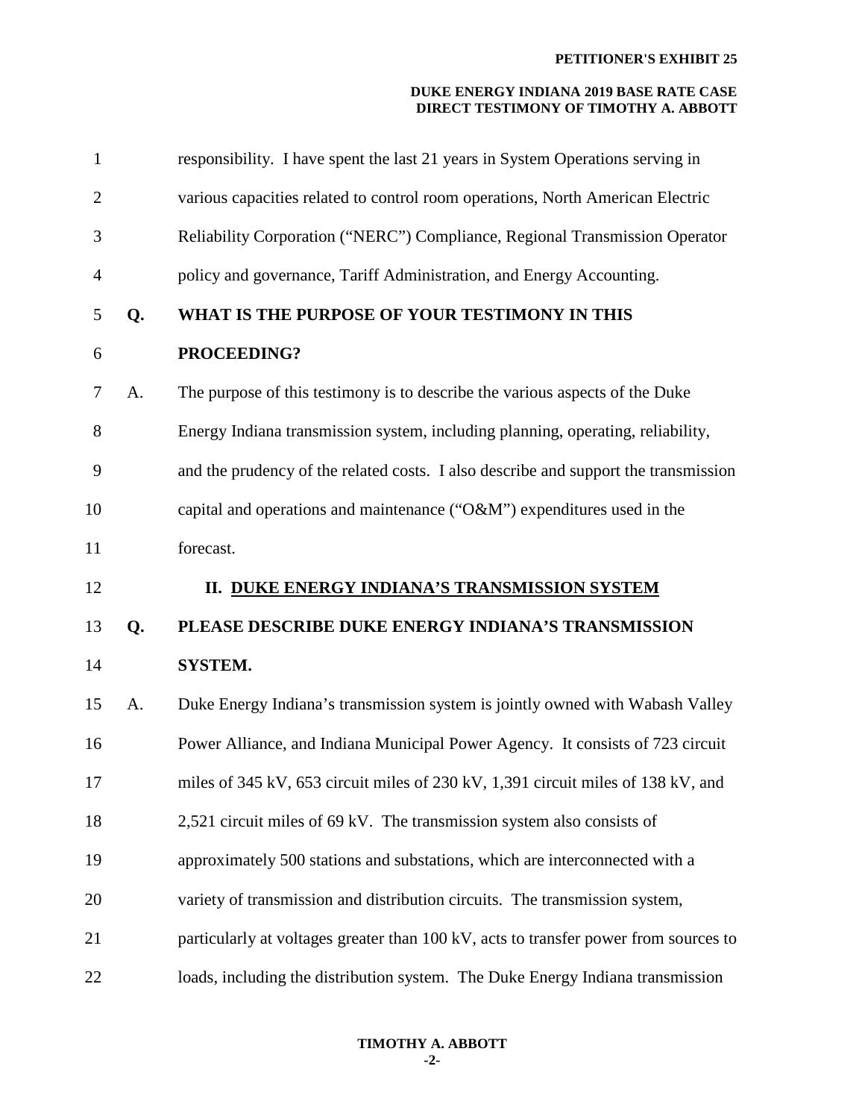| $\mathbf{1}$   |    | responsibility. I have spent the last 21 years in System Operations serving in       |
|----------------|----|--------------------------------------------------------------------------------------|
| $\overline{2}$ |    | various capacities related to control room operations, North American Electric       |
| 3              |    | Reliability Corporation ("NERC") Compliance, Regional Transmission Operator          |
| $\overline{4}$ |    | policy and governance, Tariff Administration, and Energy Accounting.                 |
| 5              | Q. | WHAT IS THE PURPOSE OF YOUR TESTIMONY IN THIS                                        |
| 6              |    | PROCEEDING?                                                                          |
| $\overline{7}$ | A. | The purpose of this testimony is to describe the various aspects of the Duke         |
| 8              |    | Energy Indiana transmission system, including planning, operating, reliability,      |
| 9              |    | and the prudency of the related costs. I also describe and support the transmission  |
| 10             |    | capital and operations and maintenance (" $O&M$ ") expenditures used in the          |
| 11             |    | forecast.                                                                            |
| 12             |    | II. DUKE ENERGY INDIANA'S TRANSMISSION SYSTEM                                        |
| 13             | Q. | PLEASE DESCRIBE DUKE ENERGY INDIANA'S TRANSMISSION                                   |
| 14             |    | <b>SYSTEM.</b>                                                                       |
| 15             | A. | Duke Energy Indiana's transmission system is jointly owned with Wabash Valley        |
| 16             |    | Power Alliance, and Indiana Municipal Power Agency. It consists of 723 circuit       |
| 17             |    | miles of 345 kV, 653 circuit miles of 230 kV, 1,391 circuit miles of 138 kV, and     |
| 18             |    |                                                                                      |
|                |    | 2,521 circuit miles of 69 kV. The transmission system also consists of               |
| 19             |    | approximately 500 stations and substations, which are interconnected with a          |
| 20             |    | variety of transmission and distribution circuits. The transmission system,          |
| 21             |    | particularly at voltages greater than 100 kV, acts to transfer power from sources to |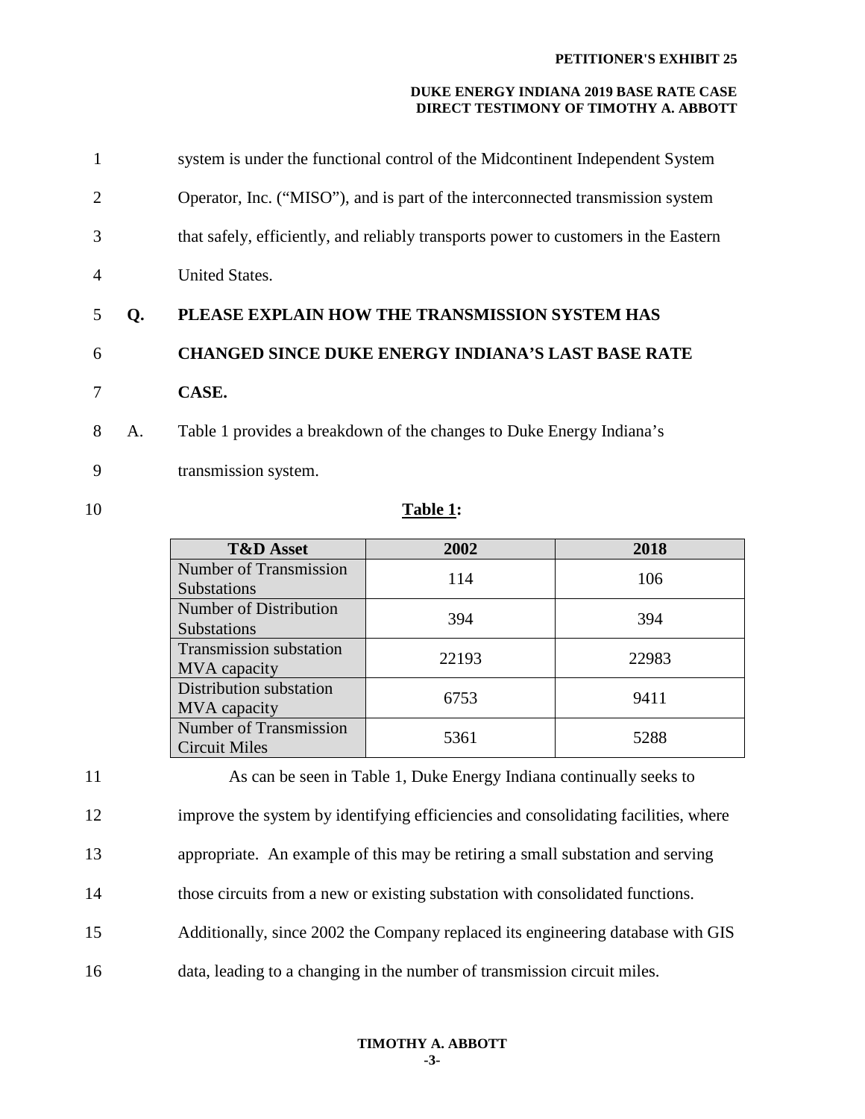| 7              |    | CASE.                                                                               |
|----------------|----|-------------------------------------------------------------------------------------|
| 6              |    | <b>CHANGED SINCE DUKE ENERGY INDIANA'S LAST BASE RATE</b>                           |
| .5             | O. | PLEASE EXPLAIN HOW THE TRANSMISSION SYSTEM HAS                                      |
| $\overline{4}$ |    | <b>United States.</b>                                                               |
| 3              |    | that safely, efficiently, and reliably transports power to customers in the Eastern |
| 2              |    | Operator, Inc. ("MISO"), and is part of the interconnected transmission system      |
| $\mathbf{1}$   |    | system is under the functional control of the Midcontinent Independent System       |

8 A. Table 1 provides a breakdown of the changes to Duke Energy Indiana's

9 transmission system.

#### 10 **Table 1:**

| <b>T&amp;D</b> Asset                                | 2002  | 2018  |
|-----------------------------------------------------|-------|-------|
| <b>Number of Transmission</b><br><b>Substations</b> | 114   | 106   |
| Number of Distribution<br><b>Substations</b>        | 394   | 394   |
| <b>Transmission substation</b><br>MVA capacity      | 22193 | 22983 |
| Distribution substation<br>MVA capacity             | 6753  | 9411  |
| Number of Transmission<br><b>Circuit Miles</b>      | 5361  | 5288  |

11 As can be seen in Table 1, Duke Energy Indiana continually seeks to 12 improve the system by identifying efficiencies and consolidating facilities, where 13 appropriate. An example of this may be retiring a small substation and serving 14 those circuits from a new or existing substation with consolidated functions. 15 Additionally, since 2002 the Company replaced its engineering database with GIS 16 data, leading to a changing in the number of transmission circuit miles.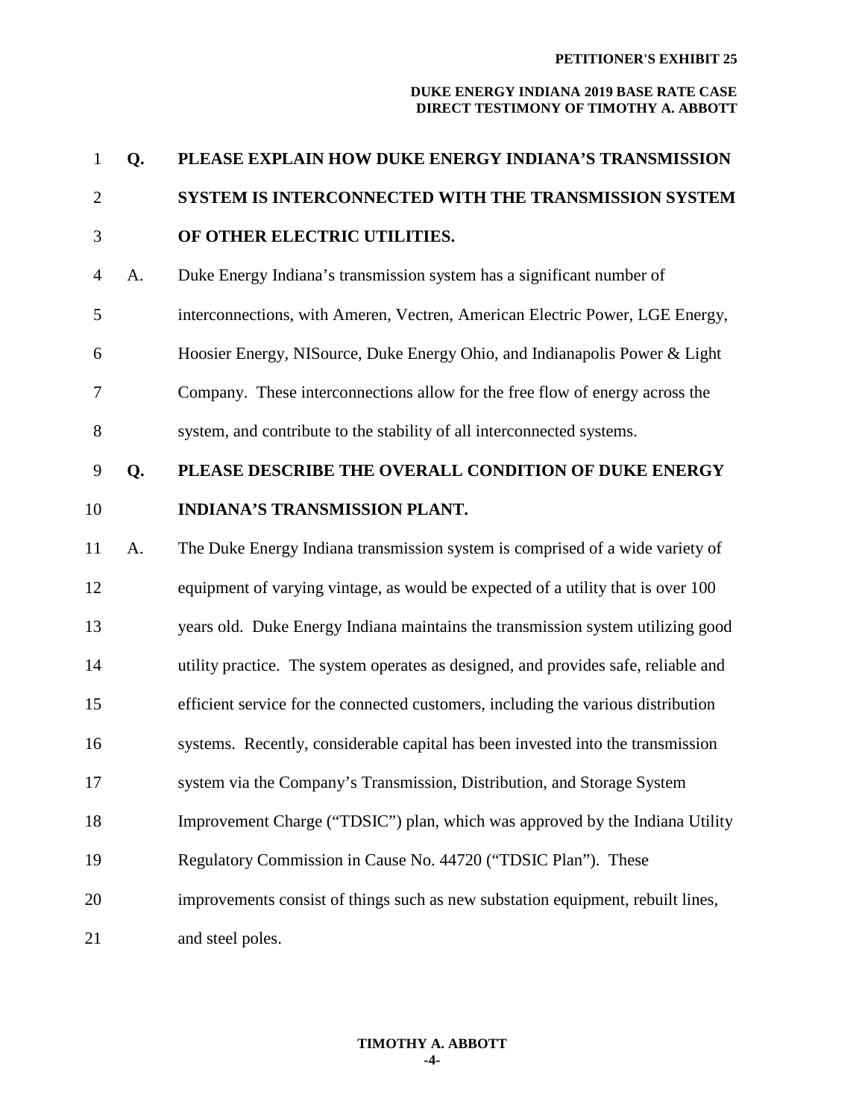#### **PETITIONER'S EXHIBIT 25**

| $\mathbf{1}$   | Q. | PLEASE EXPLAIN HOW DUKE ENERGY INDIANA'S TRANSMISSION                              |
|----------------|----|------------------------------------------------------------------------------------|
| $\overline{2}$ |    | SYSTEM IS INTERCONNECTED WITH THE TRANSMISSION SYSTEM                              |
| 3              |    | OF OTHER ELECTRIC UTILITIES.                                                       |
| $\overline{4}$ | A. | Duke Energy Indiana's transmission system has a significant number of              |
| 5              |    | interconnections, with Ameren, Vectren, American Electric Power, LGE Energy,       |
| 6              |    | Hoosier Energy, NISource, Duke Energy Ohio, and Indianapolis Power & Light         |
| 7              |    | Company. These interconnections allow for the free flow of energy across the       |
| $8\,$          |    | system, and contribute to the stability of all interconnected systems.             |
| 9              | Q. | PLEASE DESCRIBE THE OVERALL CONDITION OF DUKE ENERGY                               |
| 10             |    | INDIANA'S TRANSMISSION PLANT.                                                      |
| 11             | A. | The Duke Energy Indiana transmission system is comprised of a wide variety of      |
| 12             |    | equipment of varying vintage, as would be expected of a utility that is over 100   |
| 13             |    | years old. Duke Energy Indiana maintains the transmission system utilizing good    |
| 14             |    | utility practice. The system operates as designed, and provides safe, reliable and |
| 15             |    | efficient service for the connected customers, including the various distribution  |
| 16             |    | systems. Recently, considerable capital has been invested into the transmission    |
| 17             |    | system via the Company's Transmission, Distribution, and Storage System            |
| 18             |    | Improvement Charge ("TDSIC") plan, which was approved by the Indiana Utility       |
| 19             |    | Regulatory Commission in Cause No. 44720 ("TDSIC Plan"). These                     |
| 20             |    | improvements consist of things such as new substation equipment, rebuilt lines,    |
| 21             |    | and steel poles.                                                                   |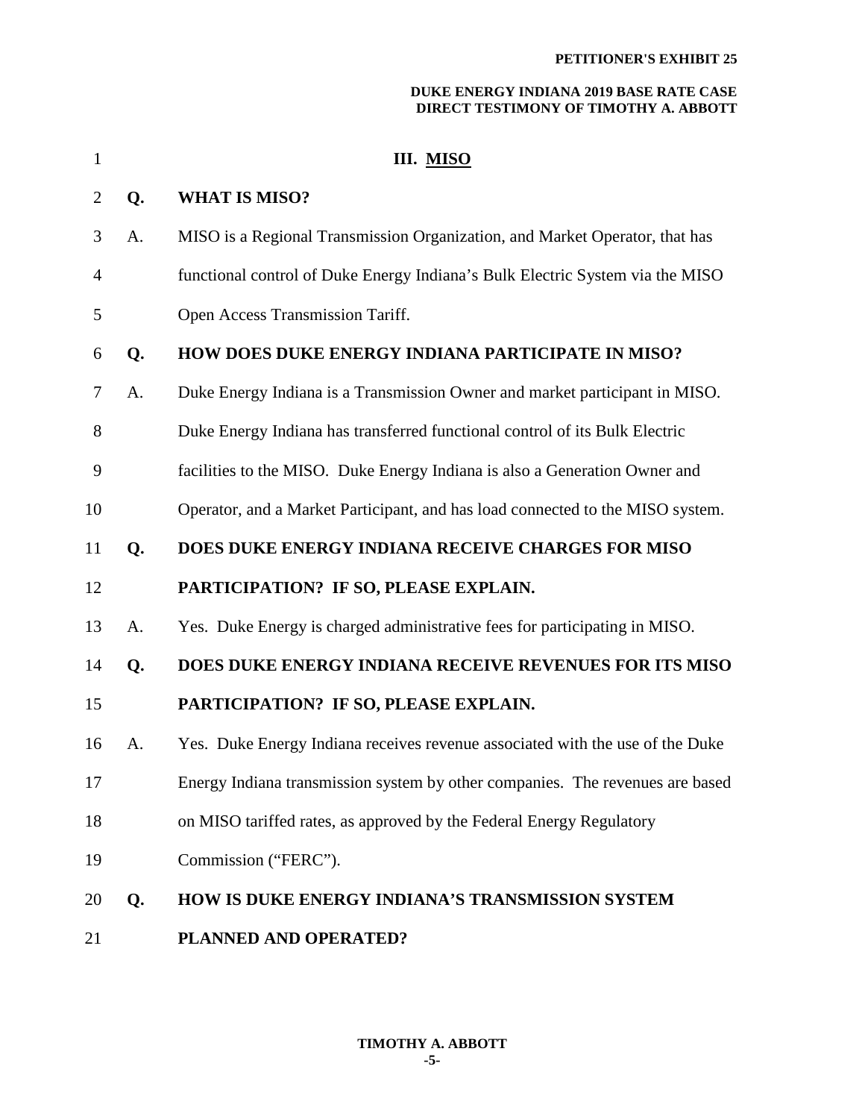| $\mathbf{1}$   |    | III. MISO                                                                      |
|----------------|----|--------------------------------------------------------------------------------|
| $\overline{2}$ | Q. | <b>WHAT IS MISO?</b>                                                           |
| 3              | A. | MISO is a Regional Transmission Organization, and Market Operator, that has    |
| 4              |    | functional control of Duke Energy Indiana's Bulk Electric System via the MISO  |
| 5              |    | Open Access Transmission Tariff.                                               |
| 6              | Q. | HOW DOES DUKE ENERGY INDIANA PARTICIPATE IN MISO?                              |
| 7              | A. | Duke Energy Indiana is a Transmission Owner and market participant in MISO.    |
| 8              |    | Duke Energy Indiana has transferred functional control of its Bulk Electric    |
| 9              |    | facilities to the MISO. Duke Energy Indiana is also a Generation Owner and     |
| 10             |    | Operator, and a Market Participant, and has load connected to the MISO system. |
| 11             | Q. | DOES DUKE ENERGY INDIANA RECEIVE CHARGES FOR MISO                              |
| 12             |    | PARTICIPATION? IF SO, PLEASE EXPLAIN.                                          |
| 13             | A. | Yes. Duke Energy is charged administrative fees for participating in MISO.     |
| 14             | Q. | DOES DUKE ENERGY INDIANA RECEIVE REVENUES FOR ITS MISO                         |
| 15             |    | PARTICIPATION? IF SO, PLEASE EXPLAIN.                                          |
| 16             | A. | Yes. Duke Energy Indiana receives revenue associated with the use of the Duke  |
| 17             |    | Energy Indiana transmission system by other companies. The revenues are based  |
| 18             |    | on MISO tariffed rates, as approved by the Federal Energy Regulatory           |
| 19             |    | Commission ("FERC").                                                           |
| 20             | Q. | <b>HOW IS DUKE ENERGY INDIANA'S TRANSMISSION SYSTEM</b>                        |
| 21             |    | PLANNED AND OPERATED?                                                          |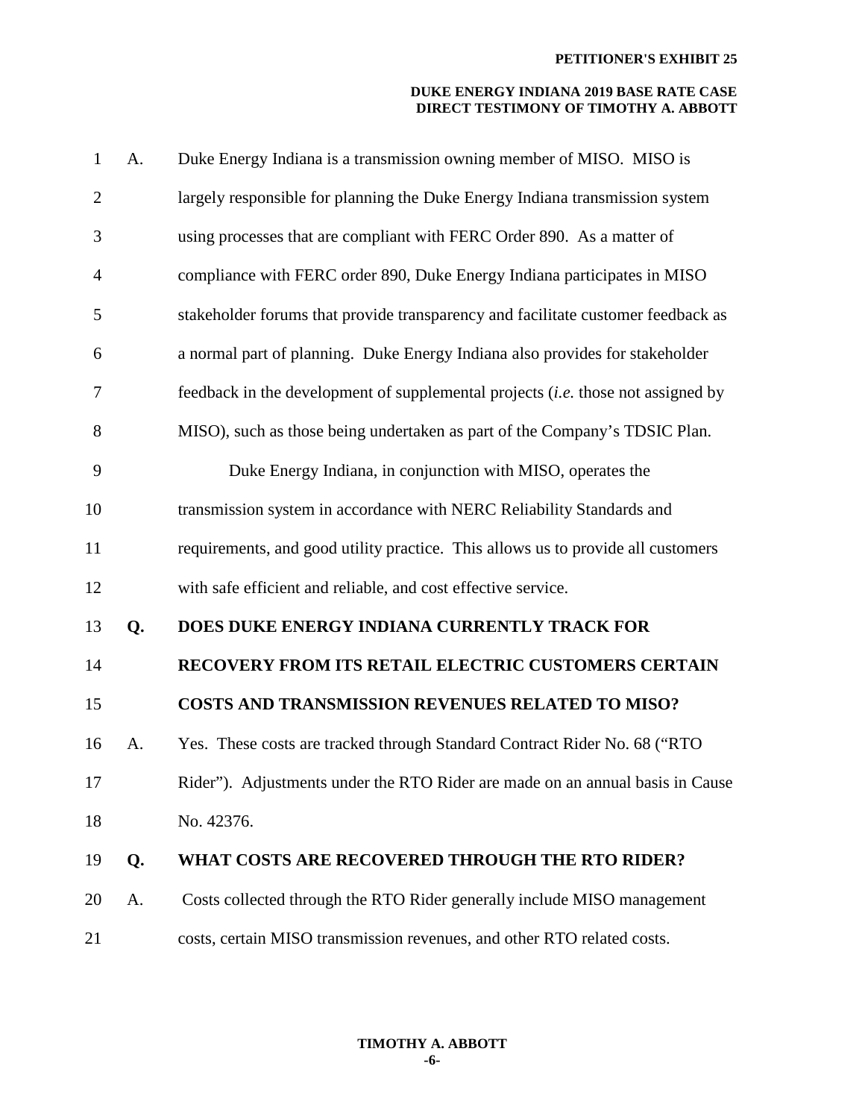| $\mathbf{1}$   | A. | Duke Energy Indiana is a transmission owning member of MISO. MISO is                    |
|----------------|----|-----------------------------------------------------------------------------------------|
| $\overline{2}$ |    | largely responsible for planning the Duke Energy Indiana transmission system            |
| 3              |    | using processes that are compliant with FERC Order 890. As a matter of                  |
| $\overline{4}$ |    | compliance with FERC order 890, Duke Energy Indiana participates in MISO                |
| 5              |    | stakeholder forums that provide transparency and facilitate customer feedback as        |
| 6              |    | a normal part of planning. Duke Energy Indiana also provides for stakeholder            |
| 7              |    | feedback in the development of supplemental projects <i>(i.e.</i> those not assigned by |
| 8              |    | MISO), such as those being undertaken as part of the Company's TDSIC Plan.              |
| 9              |    | Duke Energy Indiana, in conjunction with MISO, operates the                             |
| 10             |    | transmission system in accordance with NERC Reliability Standards and                   |
| 11             |    | requirements, and good utility practice. This allows us to provide all customers        |
| 12             |    | with safe efficient and reliable, and cost effective service.                           |
| 13             | Q. | DOES DUKE ENERGY INDIANA CURRENTLY TRACK FOR                                            |
| 14             |    | RECOVERY FROM ITS RETAIL ELECTRIC CUSTOMERS CERTAIN                                     |
| 15             |    | <b>COSTS AND TRANSMISSION REVENUES RELATED TO MISO?</b>                                 |
| 16             | A. | Yes. These costs are tracked through Standard Contract Rider No. 68 ("RTO               |
| 17             |    | Rider"). Adjustments under the RTO Rider are made on an annual basis in Cause           |
| 18             |    | No. 42376.                                                                              |
| 19             | Q. | WHAT COSTS ARE RECOVERED THROUGH THE RTO RIDER?                                         |
| 20             | A. | Costs collected through the RTO Rider generally include MISO management                 |
| 21             |    | costs, certain MISO transmission revenues, and other RTO related costs.                 |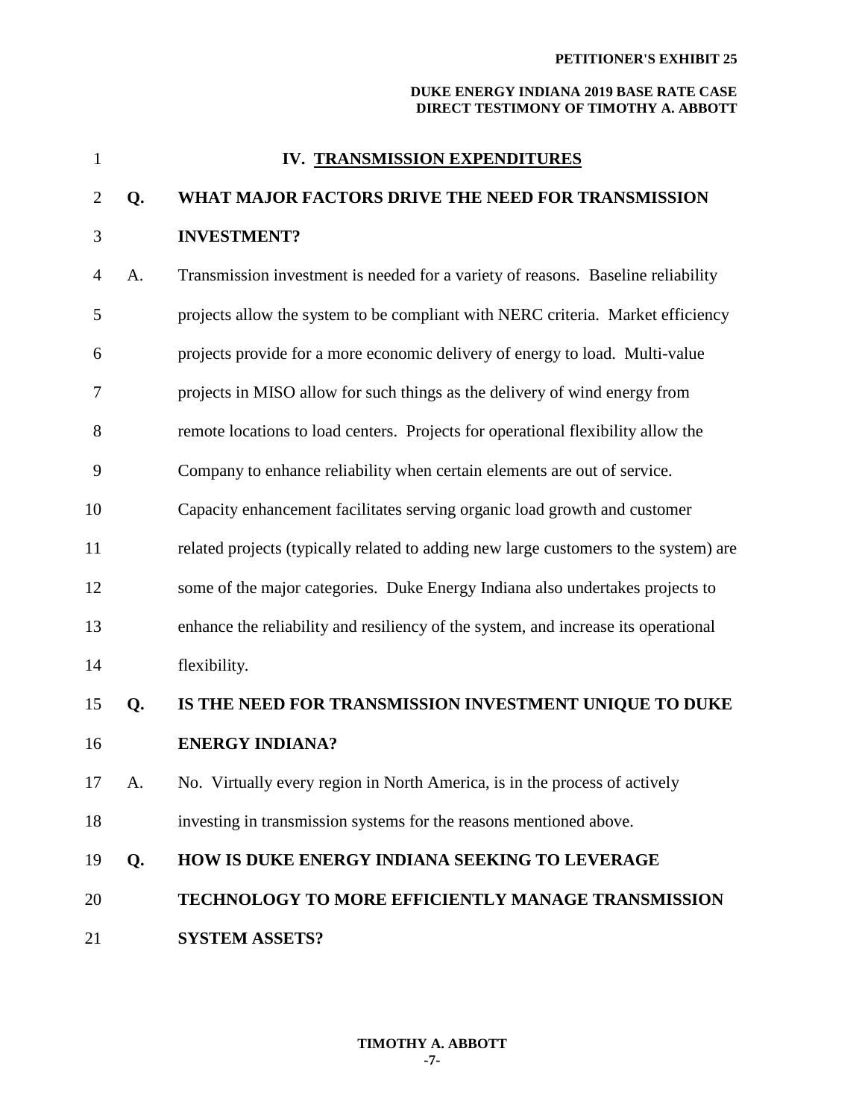| $\mathbf{1}$ |    | IV. TRANSMISSION EXPENDITURES                                                        |
|--------------|----|--------------------------------------------------------------------------------------|
| 2            | Q. | WHAT MAJOR FACTORS DRIVE THE NEED FOR TRANSMISSION                                   |
| 3            |    | <b>INVESTMENT?</b>                                                                   |
| 4            | A. | Transmission investment is needed for a variety of reasons. Baseline reliability     |
| 5            |    | projects allow the system to be compliant with NERC criteria. Market efficiency      |
| 6            |    | projects provide for a more economic delivery of energy to load. Multi-value         |
| 7            |    | projects in MISO allow for such things as the delivery of wind energy from           |
| 8            |    | remote locations to load centers. Projects for operational flexibility allow the     |
| 9            |    | Company to enhance reliability when certain elements are out of service.             |
| 10           |    | Capacity enhancement facilitates serving organic load growth and customer            |
| 11           |    | related projects (typically related to adding new large customers to the system) are |
| 12           |    | some of the major categories. Duke Energy Indiana also undertakes projects to        |
| 13           |    | enhance the reliability and resiliency of the system, and increase its operational   |
| 14           |    | flexibility.                                                                         |
| 15           | Q. | IS THE NEED FOR TRANSMISSION INVESTMENT UNIQUE TO DUKE                               |
| 16           |    | <b>ENERGY INDIANA?</b>                                                               |
| 17           | A. | No. Virtually every region in North America, is in the process of actively           |
| 18           |    | investing in transmission systems for the reasons mentioned above.                   |
| 19           | Q. | HOW IS DUKE ENERGY INDIANA SEEKING TO LEVERAGE                                       |
| 20           |    | <b>TECHNOLOGY TO MORE EFFICIENTLY MANAGE TRANSMISSION</b>                            |
| 21           |    | <b>SYSTEM ASSETS?</b>                                                                |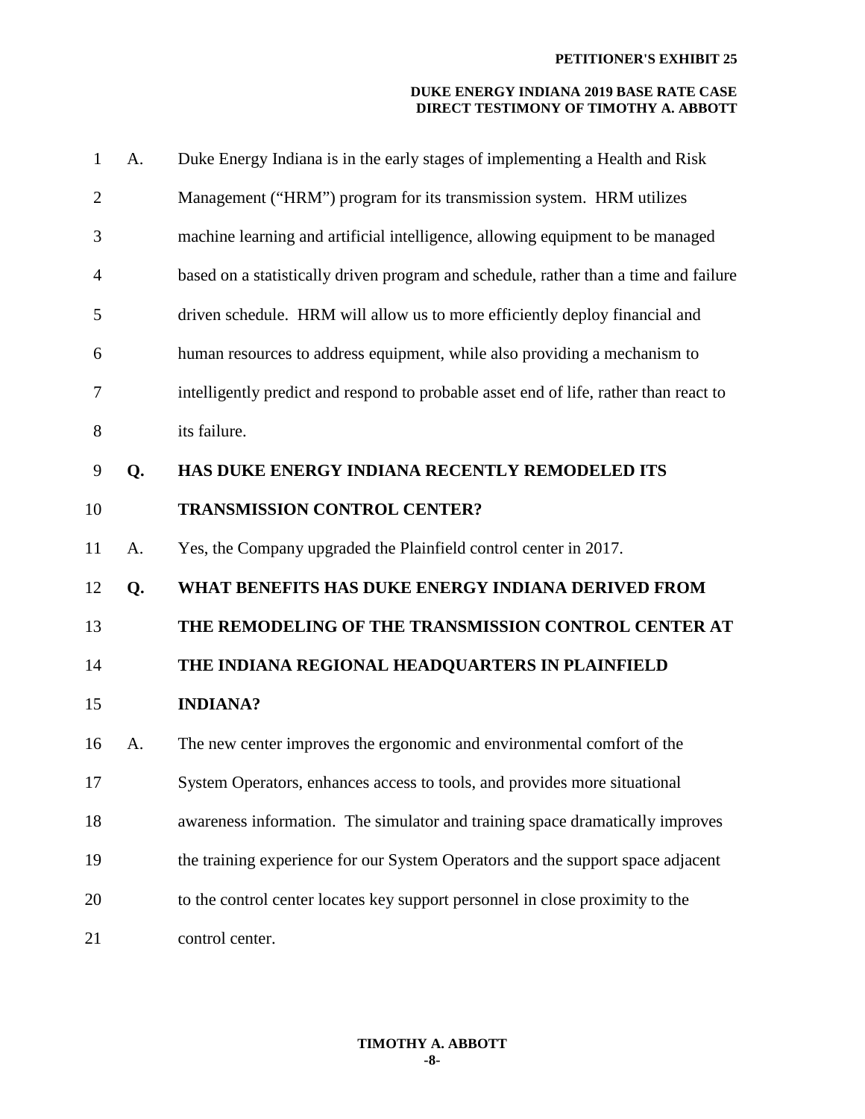| $\mathbf{1}$   | A. | Duke Energy Indiana is in the early stages of implementing a Health and Risk          |
|----------------|----|---------------------------------------------------------------------------------------|
| $\overline{2}$ |    | Management ("HRM") program for its transmission system. HRM utilizes                  |
| 3              |    | machine learning and artificial intelligence, allowing equipment to be managed        |
| 4              |    | based on a statistically driven program and schedule, rather than a time and failure  |
| 5              |    | driven schedule. HRM will allow us to more efficiently deploy financial and           |
| 6              |    | human resources to address equipment, while also providing a mechanism to             |
| 7              |    | intelligently predict and respond to probable asset end of life, rather than react to |
| 8              |    | its failure.                                                                          |
| 9              | Q. | HAS DUKE ENERGY INDIANA RECENTLY REMODELED ITS                                        |
| 10             |    | TRANSMISSION CONTROL CENTER?                                                          |
| 11             | A. | Yes, the Company upgraded the Plainfield control center in 2017.                      |
| 12             | Q. | WHAT BENEFITS HAS DUKE ENERGY INDIANA DERIVED FROM                                    |
| 13             |    | THE REMODELING OF THE TRANSMISSION CONTROL CENTER AT                                  |
| 14             |    | THE INDIANA REGIONAL HEADQUARTERS IN PLAINFIELD                                       |
| 15             |    | <b>INDIANA?</b>                                                                       |
| 16             | A. | The new center improves the ergonomic and environmental comfort of the                |
| 17             |    | System Operators, enhances access to tools, and provides more situational             |
| 18             |    | awareness information. The simulator and training space dramatically improves         |
| 19             |    | the training experience for our System Operators and the support space adjacent       |
| 20             |    | to the control center locates key support personnel in close proximity to the         |
|                |    |                                                                                       |

21 control center.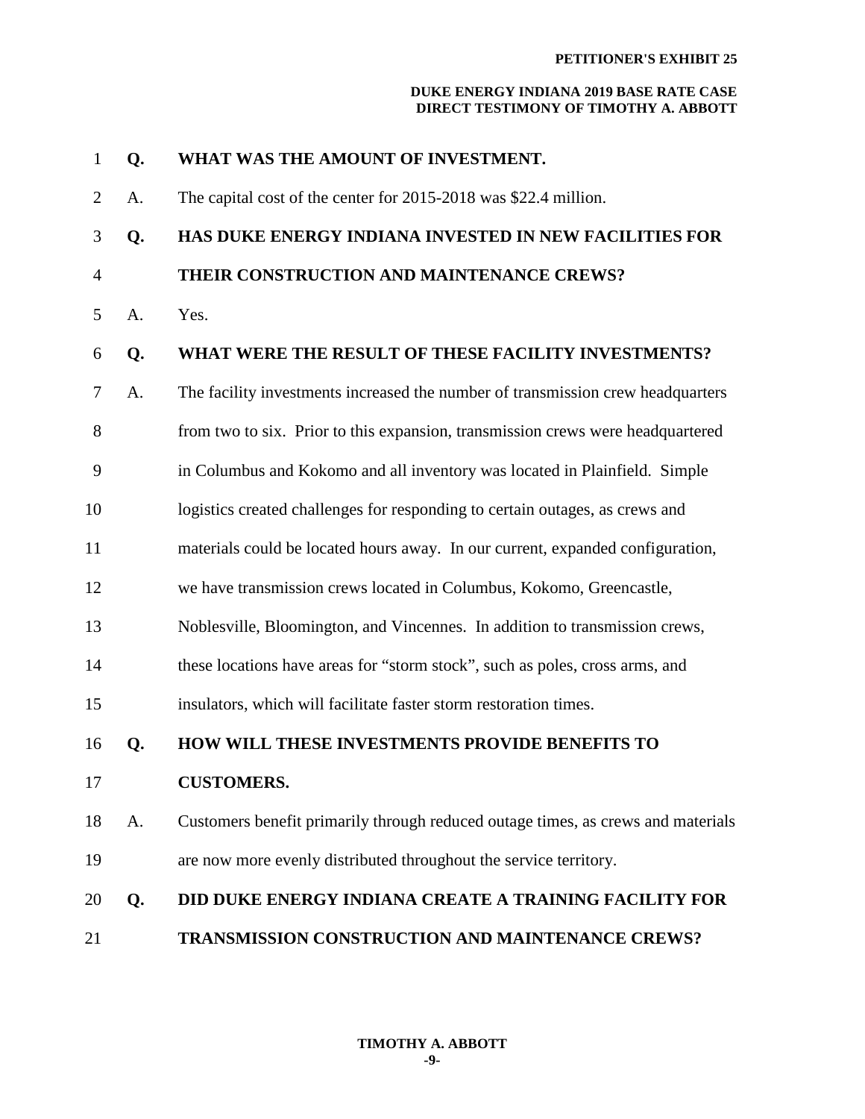| $\mathbf{1}$   | Q. | WHAT WAS THE AMOUNT OF INVESTMENT.                                               |
|----------------|----|----------------------------------------------------------------------------------|
| $\overline{2}$ | A. | The capital cost of the center for 2015-2018 was \$22.4 million.                 |
| 3              | Q. | HAS DUKE ENERGY INDIANA INVESTED IN NEW FACILITIES FOR                           |
| $\overline{4}$ |    | THEIR CONSTRUCTION AND MAINTENANCE CREWS?                                        |
| 5              | A. | Yes.                                                                             |
| 6              | Q. | WHAT WERE THE RESULT OF THESE FACILITY INVESTMENTS?                              |
| $\tau$         | A. | The facility investments increased the number of transmission crew headquarters  |
| 8              |    | from two to six. Prior to this expansion, transmission crews were headquartered  |
| 9              |    | in Columbus and Kokomo and all inventory was located in Plainfield. Simple       |
| 10             |    | logistics created challenges for responding to certain outages, as crews and     |
| 11             |    | materials could be located hours away. In our current, expanded configuration,   |
| 12             |    | we have transmission crews located in Columbus, Kokomo, Greencastle,             |
| 13             |    | Noblesville, Bloomington, and Vincennes. In addition to transmission crews,      |
| 14             |    | these locations have areas for "storm stock", such as poles, cross arms, and     |
| 15             |    | insulators, which will facilitate faster storm restoration times.                |
| 16             | Q. | HOW WILL THESE INVESTMENTS PROVIDE BENEFITS TO                                   |
| 17             |    | <b>CUSTOMERS.</b>                                                                |
| 18             | A. | Customers benefit primarily through reduced outage times, as crews and materials |
| 19             |    | are now more evenly distributed throughout the service territory.                |
| 20             | Q. | <b>DID DUKE ENERGY INDIANA CREATE A TRAINING FACILITY FOR</b>                    |
| 21             |    | TRANSMISSION CONSTRUCTION AND MAINTENANCE CREWS?                                 |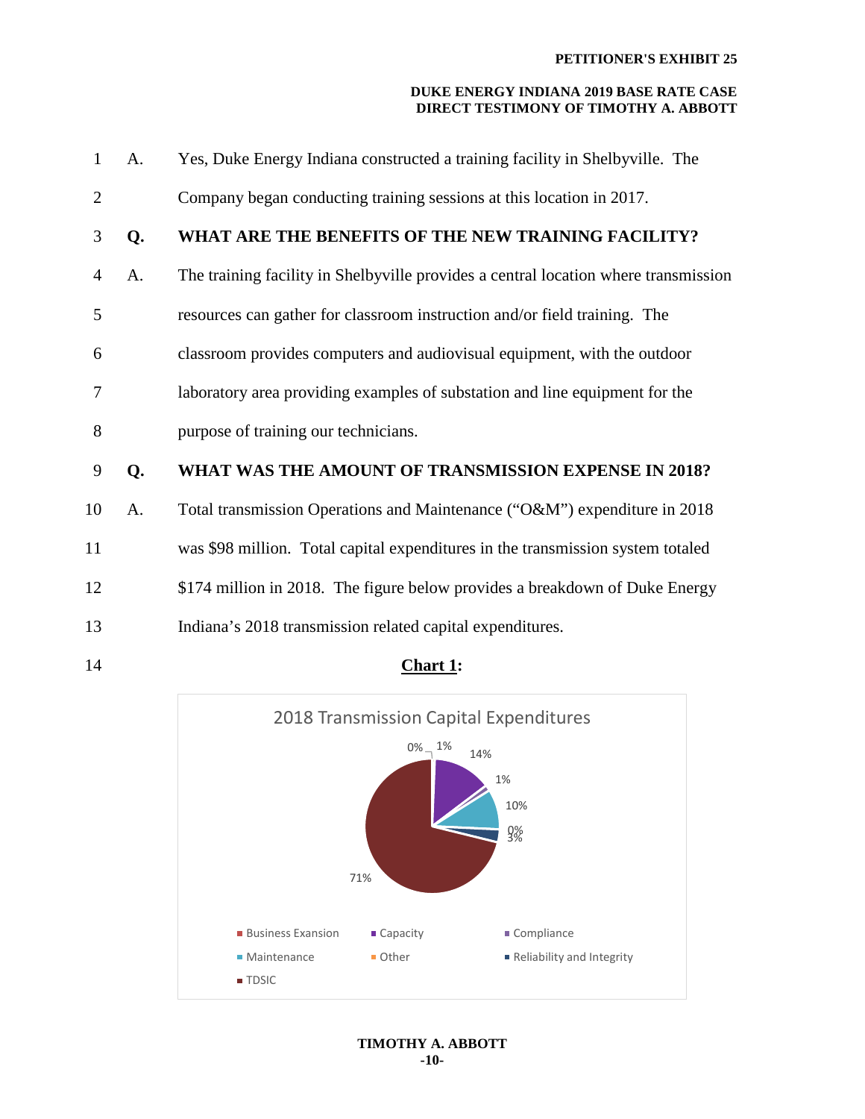| $\mathbf{1}$   | A. | Yes, Duke Energy Indiana constructed a training facility in Shelbyville. The        |
|----------------|----|-------------------------------------------------------------------------------------|
| $\overline{2}$ |    | Company began conducting training sessions at this location in 2017.                |
| 3              | Q. | WHAT ARE THE BENEFITS OF THE NEW TRAINING FACILITY?                                 |
| $\overline{4}$ | A. | The training facility in Shelbyville provides a central location where transmission |
| 5              |    | resources can gather for classroom instruction and/or field training. The           |
| 6              |    | classroom provides computers and audiovisual equipment, with the outdoor            |
| 7              |    | laboratory area providing examples of substation and line equipment for the         |
| 8              |    | purpose of training our technicians.                                                |
| 9              | Q. | WHAT WAS THE AMOUNT OF TRANSMISSION EXPENSE IN 2018?                                |
| 10             | A. | Total transmission Operations and Maintenance ("O&M") expenditure in 2018           |
| 11             |    | was \$98 million. Total capital expenditures in the transmission system totaled     |
| 12             |    | \$174 million in 2018. The figure below provides a breakdown of Duke Energy         |
| 13             |    | Indiana's 2018 transmission related capital expenditures.                           |
|                |    |                                                                                     |



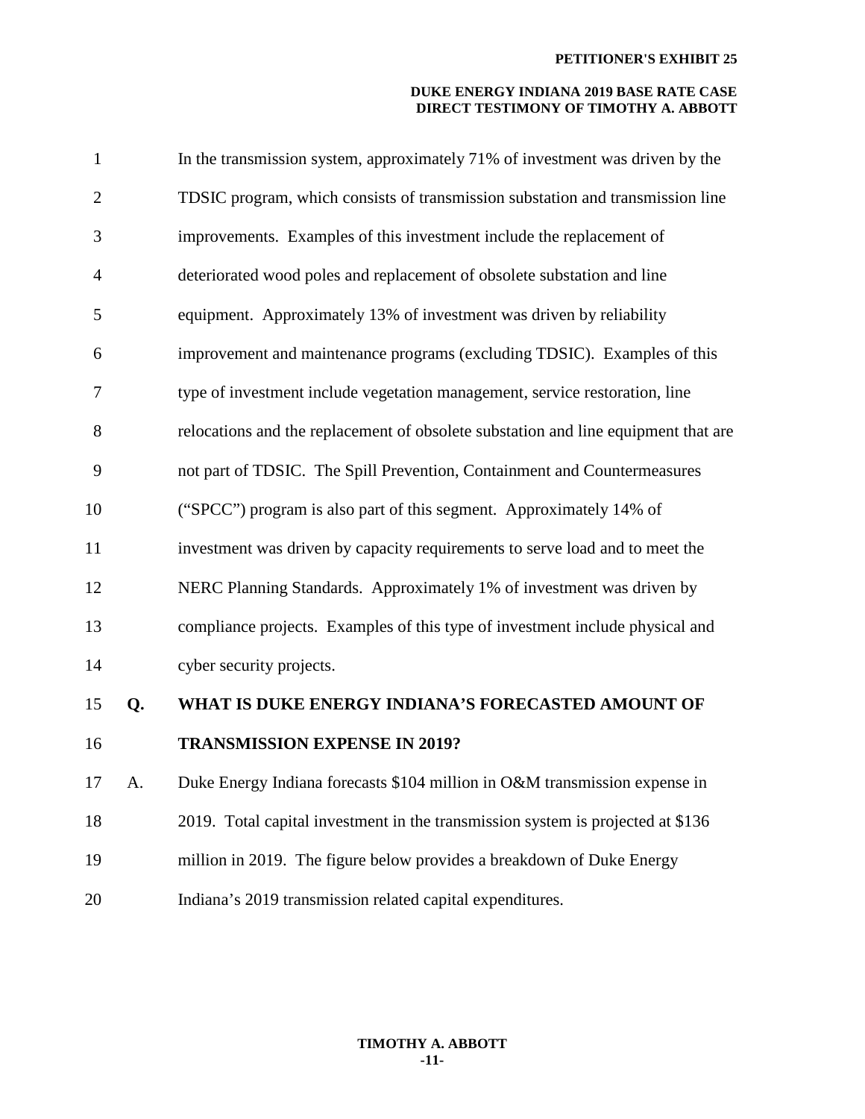| $\mathbf{1}$   |    | In the transmission system, approximately 71% of investment was driven by the      |
|----------------|----|------------------------------------------------------------------------------------|
| $\overline{2}$ |    | TDSIC program, which consists of transmission substation and transmission line     |
| 3              |    | improvements. Examples of this investment include the replacement of               |
| 4              |    | deteriorated wood poles and replacement of obsolete substation and line            |
| 5              |    | equipment. Approximately 13% of investment was driven by reliability               |
| 6              |    | improvement and maintenance programs (excluding TDSIC). Examples of this           |
| 7              |    | type of investment include vegetation management, service restoration, line        |
| 8              |    | relocations and the replacement of obsolete substation and line equipment that are |
| 9              |    | not part of TDSIC. The Spill Prevention, Containment and Countermeasures           |
| 10             |    | ("SPCC") program is also part of this segment. Approximately 14% of                |
| 11             |    | investment was driven by capacity requirements to serve load and to meet the       |
| 12             |    | NERC Planning Standards. Approximately 1% of investment was driven by              |
| 13             |    | compliance projects. Examples of this type of investment include physical and      |
| 14             |    | cyber security projects.                                                           |
| 15             | Q. | WHAT IS DUKE ENERGY INDIANA'S FORECASTED AMOUNT OF                                 |
| 16             |    | <b>TRANSMISSION EXPENSE IN 2019?</b>                                               |
| 17             | A. | Duke Energy Indiana forecasts \$104 million in O&M transmission expense in         |
| 18             |    | 2019. Total capital investment in the transmission system is projected at \$136    |
| 19             |    | million in 2019. The figure below provides a breakdown of Duke Energy              |
|                |    |                                                                                    |

20 Indiana's 2019 transmission related capital expenditures.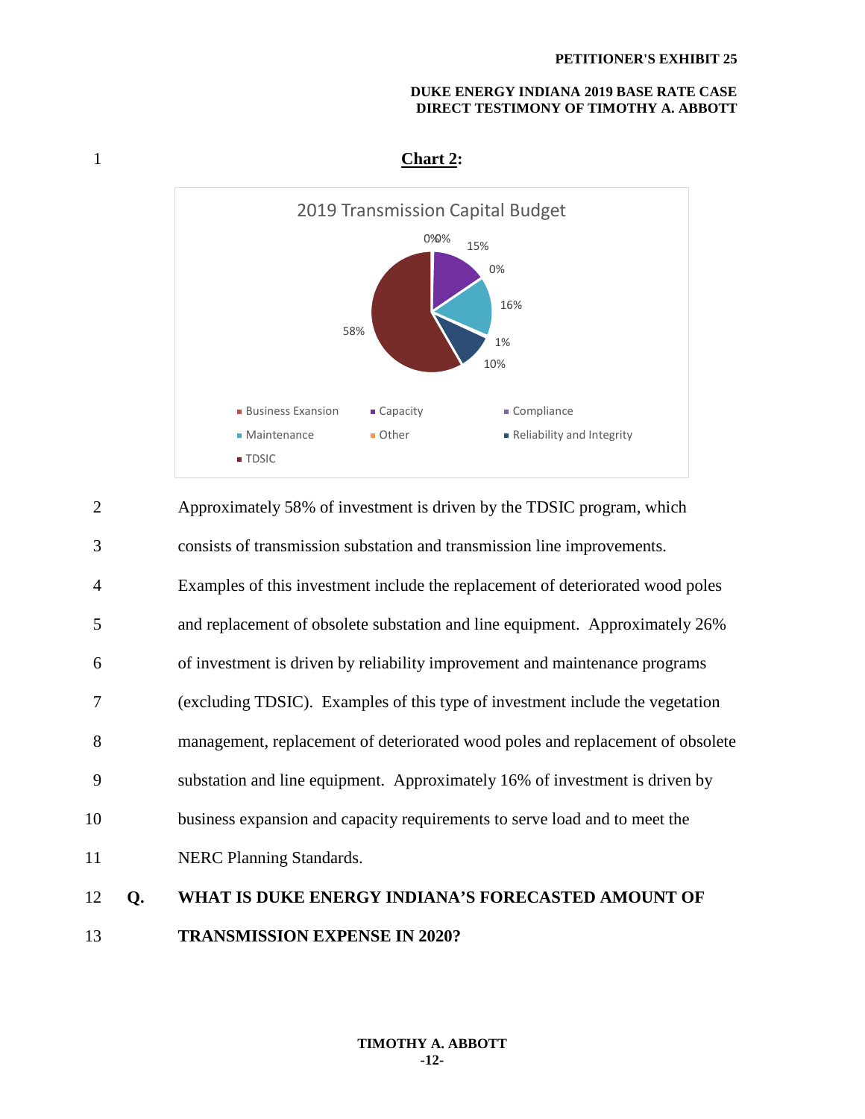

1 **Chart 2:** 

2 Approximately 58% of investment is driven by the TDSIC program, which 3 consists of transmission substation and transmission line improvements. 4 Examples of this investment include the replacement of deteriorated wood poles 5 and replacement of obsolete substation and line equipment. Approximately 26% 6 of investment is driven by reliability improvement and maintenance programs 7 (excluding TDSIC). Examples of this type of investment include the vegetation 8 management, replacement of deteriorated wood poles and replacement of obsolete 9 substation and line equipment. Approximately 16% of investment is driven by 10 business expansion and capacity requirements to serve load and to meet the 11 NERC Planning Standards. 12 **Q. WHAT IS DUKE ENERGY INDIANA'S FORECASTED AMOUNT OF**  13 **TRANSMISSION EXPENSE IN 2020?**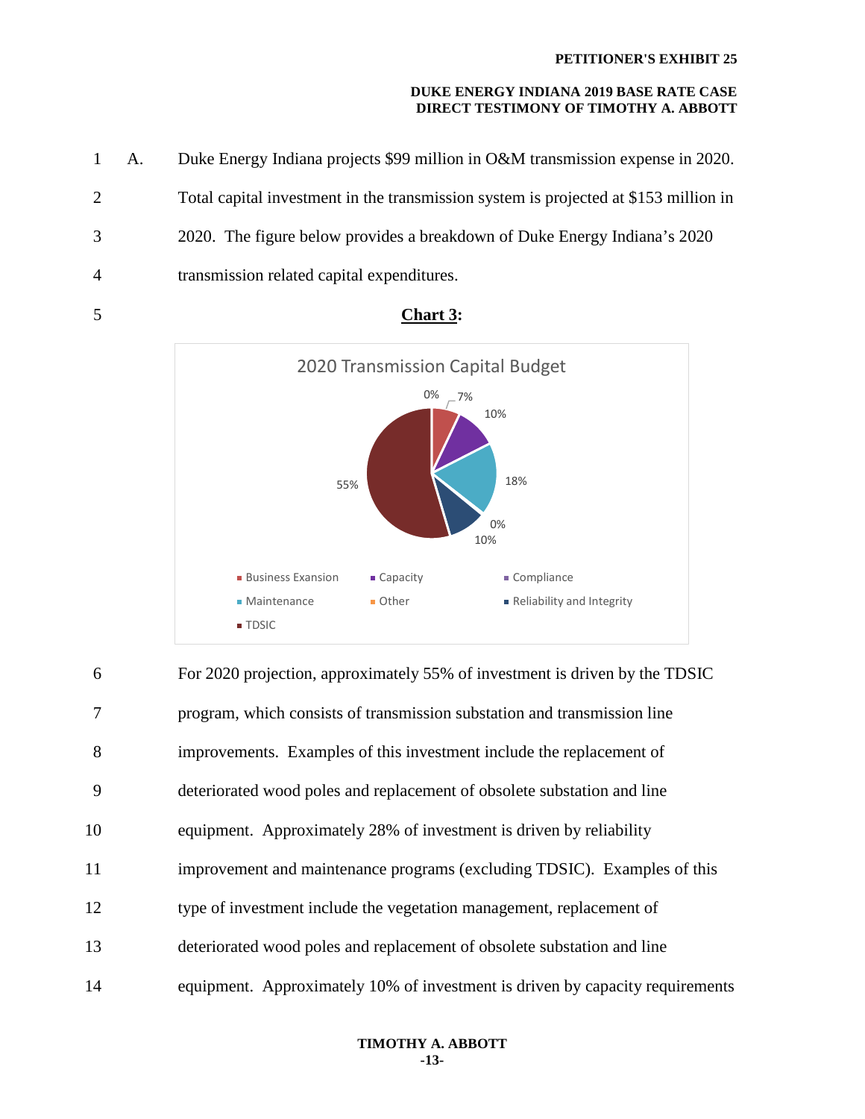|                | 1 A. | Duke Energy Indiana projects \$99 million in O&M transmission expense in 2020.       |
|----------------|------|--------------------------------------------------------------------------------------|
| $\overline{2}$ |      | Total capital investment in the transmission system is projected at \$153 million in |
| 3              |      | 2020. The figure below provides a breakdown of Duke Energy Indiana's 2020            |
| 4              |      | transmission related capital expenditures.                                           |



5 **Chart 3:** 

6 For 2020 projection, approximately 55% of investment is driven by the TDSIC 7 program, which consists of transmission substation and transmission line 8 improvements. Examples of this investment include the replacement of 9 deteriorated wood poles and replacement of obsolete substation and line 10 equipment. Approximately 28% of investment is driven by reliability 11 improvement and maintenance programs (excluding TDSIC). Examples of this 12 type of investment include the vegetation management, replacement of 13 deteriorated wood poles and replacement of obsolete substation and line 14 equipment. Approximately 10% of investment is driven by capacity requirements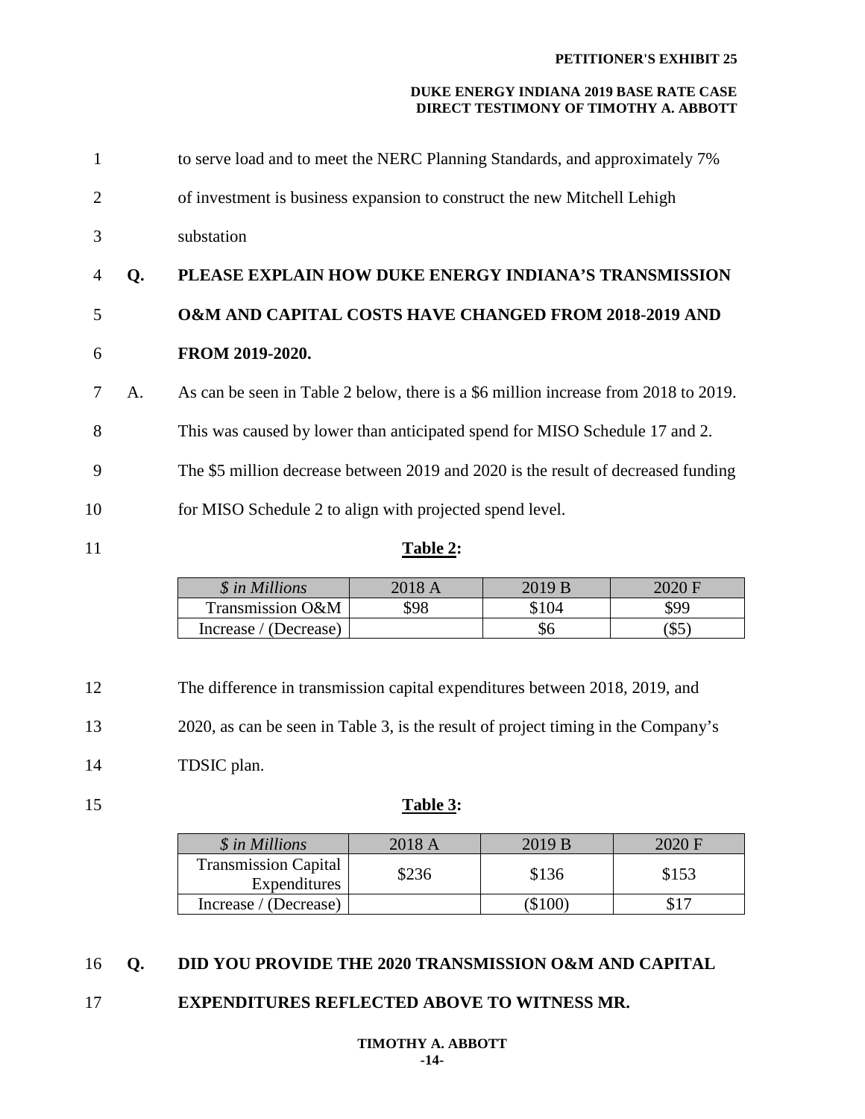| 1              |    | to serve load and to meet the NERC Planning Standards, and approximately 7%         |
|----------------|----|-------------------------------------------------------------------------------------|
| 2              |    | of investment is business expansion to construct the new Mitchell Lehigh            |
| 3              |    | substation                                                                          |
| $\overline{4}$ | Q. | PLEASE EXPLAIN HOW DUKE ENERGY INDIANA'S TRANSMISSION                               |
| 5              |    | <b>O&amp;M AND CAPITAL COSTS HAVE CHANGED FROM 2018-2019 AND</b>                    |
| 6              |    | FROM 2019-2020.                                                                     |
| 7              | A. | As can be seen in Table 2 below, there is a \$6 million increase from 2018 to 2019. |
| 8              |    | This was caused by lower than anticipated spend for MISO Schedule 17 and 2.         |
| 9              |    | The \$5 million decrease between 2019 and 2020 is the result of decreased funding   |
| 10             |    | for MISO Schedule 2 to align with projected spend level.                            |
| 11             |    | Table 2:                                                                            |

| <i><b>\$</b></i> in Millions | 2018 A | 2019 B           | 2020 F |
|------------------------------|--------|------------------|--------|
| Transmission O&M             | 598    | $^{\text{A}}104$ | \$99   |
| Increase / (Decrease)        |        | \$6              | ' D⊷   |

12 The difference in transmission capital expenditures between 2018, 2019, and

13 2020, as can be seen in Table 3, is the result of project timing in the Company's

14 TDSIC plan.

#### 15 **Table 3:**

| \$ in Millions                              | 2018A | 2019 B      | 2020 F |
|---------------------------------------------|-------|-------------|--------|
| <b>Transmission Capital</b><br>Expenditures | \$236 | \$136       | \$153  |
| Increase / (Decrease)                       |       | <b>SIOO</b> |        |

#### 16 **Q. DID YOU PROVIDE THE 2020 TRANSMISSION O&M AND CAPITAL**

#### 17 **EXPENDITURES REFLECTED ABOVE TO WITNESS MR.**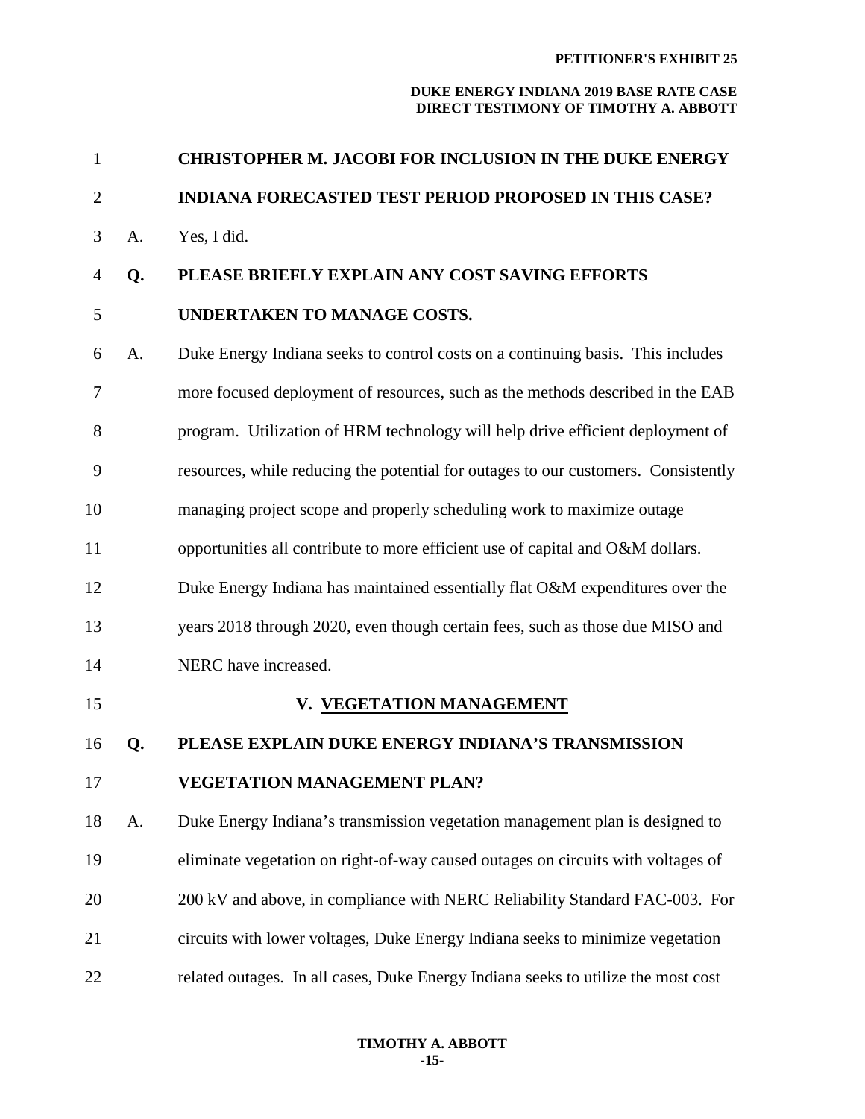#### **PETITIONER'S EXHIBIT 25**

| $\mathbf{1}$   |    | <b>CHRISTOPHER M. JACOBI FOR INCLUSION IN THE DUKE ENERGY</b>                      |
|----------------|----|------------------------------------------------------------------------------------|
| $\overline{2}$ |    | <b>INDIANA FORECASTED TEST PERIOD PROPOSED IN THIS CASE?</b>                       |
| 3              | A. | Yes, I did.                                                                        |
| 4              | Q. | PLEASE BRIEFLY EXPLAIN ANY COST SAVING EFFORTS                                     |
| 5              |    | UNDERTAKEN TO MANAGE COSTS.                                                        |
| 6              | A. | Duke Energy Indiana seeks to control costs on a continuing basis. This includes    |
| 7              |    | more focused deployment of resources, such as the methods described in the EAB     |
| 8              |    | program. Utilization of HRM technology will help drive efficient deployment of     |
| 9              |    | resources, while reducing the potential for outages to our customers. Consistently |
| 10             |    | managing project scope and properly scheduling work to maximize outage             |
| 11             |    | opportunities all contribute to more efficient use of capital and O&M dollars.     |
| 12             |    | Duke Energy Indiana has maintained essentially flat O&M expenditures over the      |
| 13             |    | years 2018 through 2020, even though certain fees, such as those due MISO and      |
| 14             |    | NERC have increased.                                                               |
| 15             |    | V. VEGETATION MANAGEMENT                                                           |
| 16             | Q. | PLEASE EXPLAIN DUKE ENERGY INDIANA'S TRANSMISSION                                  |
| 17             |    | <b>VEGETATION MANAGEMENT PLAN?</b>                                                 |
| 18             | A. | Duke Energy Indiana's transmission vegetation management plan is designed to       |
| 19             |    | eliminate vegetation on right-of-way caused outages on circuits with voltages of   |
| 20             |    | 200 kV and above, in compliance with NERC Reliability Standard FAC-003. For        |
| 21             |    | circuits with lower voltages, Duke Energy Indiana seeks to minimize vegetation     |
| 22             |    | related outages. In all cases, Duke Energy Indiana seeks to utilize the most cost  |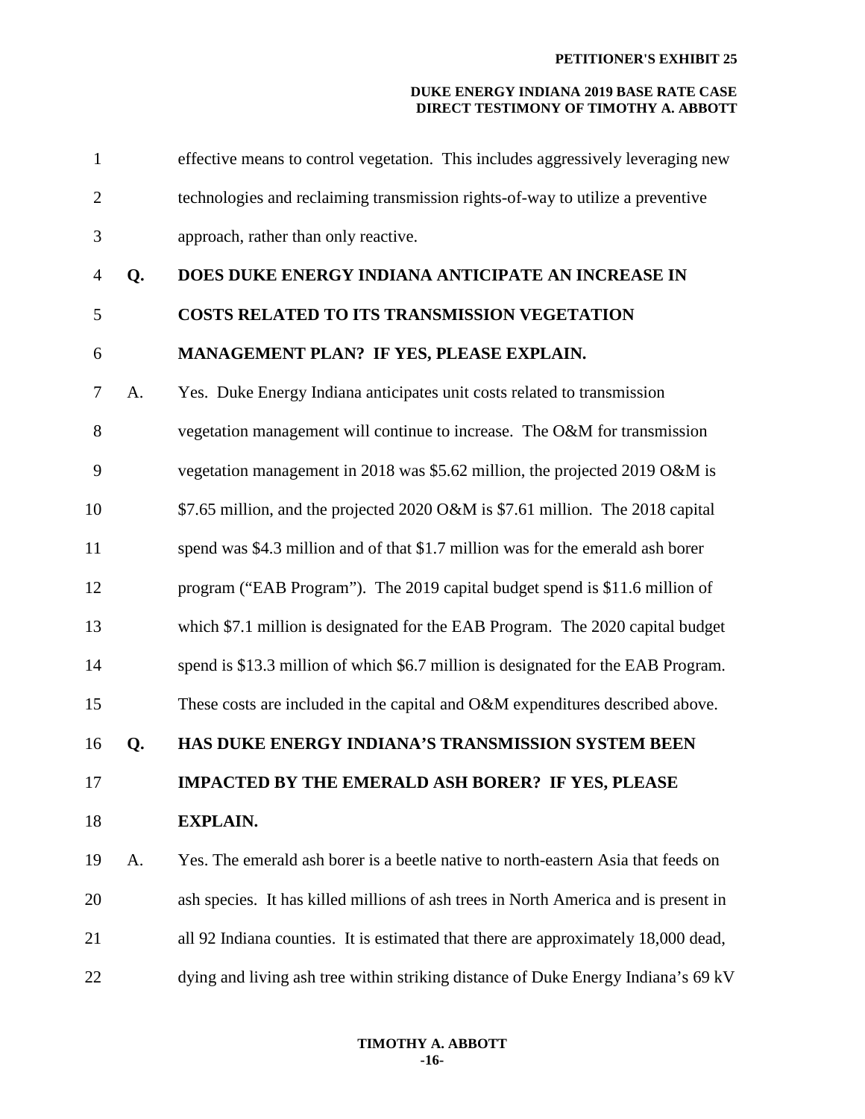| $\mathbf{1}$ |    | effective means to control vegetation. This includes aggressively leveraging new    |
|--------------|----|-------------------------------------------------------------------------------------|
| $\mathbf{2}$ |    | technologies and reclaiming transmission rights-of-way to utilize a preventive      |
| 3            |    | approach, rather than only reactive.                                                |
| 4            | Q. | DOES DUKE ENERGY INDIANA ANTICIPATE AN INCREASE IN                                  |
| 5            |    | <b>COSTS RELATED TO ITS TRANSMISSION VEGETATION</b>                                 |
| 6            |    | MANAGEMENT PLAN? IF YES, PLEASE EXPLAIN.                                            |
| 7            | A. | Yes. Duke Energy Indiana anticipates unit costs related to transmission             |
| 8            |    | vegetation management will continue to increase. The O&M for transmission           |
| 9            |    | vegetation management in 2018 was \$5.62 million, the projected 2019 O&M is         |
| 10           |    | \$7.65 million, and the projected 2020 O&M is \$7.61 million. The 2018 capital      |
| 11           |    | spend was \$4.3 million and of that \$1.7 million was for the emerald ash borer     |
| 12           |    | program ("EAB Program"). The 2019 capital budget spend is \$11.6 million of         |
| 13           |    | which \$7.1 million is designated for the EAB Program. The 2020 capital budget      |
| 14           |    | spend is \$13.3 million of which \$6.7 million is designated for the EAB Program.   |
| 15           |    | These costs are included in the capital and O&M expenditures described above.       |
| 16           | Q. | HAS DUKE ENERGY INDIANA'S TRANSMISSION SYSTEM BEEN                                  |
| 17           |    | <b>IMPACTED BY THE EMERALD ASH BORER? IF YES, PLEASE</b>                            |
| 18           |    | <b>EXPLAIN.</b>                                                                     |
| 19           | A. | Yes. The emerald ash borer is a beetle native to north-eastern Asia that feeds on   |
| 20           |    | ash species. It has killed millions of ash trees in North America and is present in |
| 21           |    | all 92 Indiana counties. It is estimated that there are approximately 18,000 dead,  |
| 22           |    | dying and living ash tree within striking distance of Duke Energy Indiana's 69 kV   |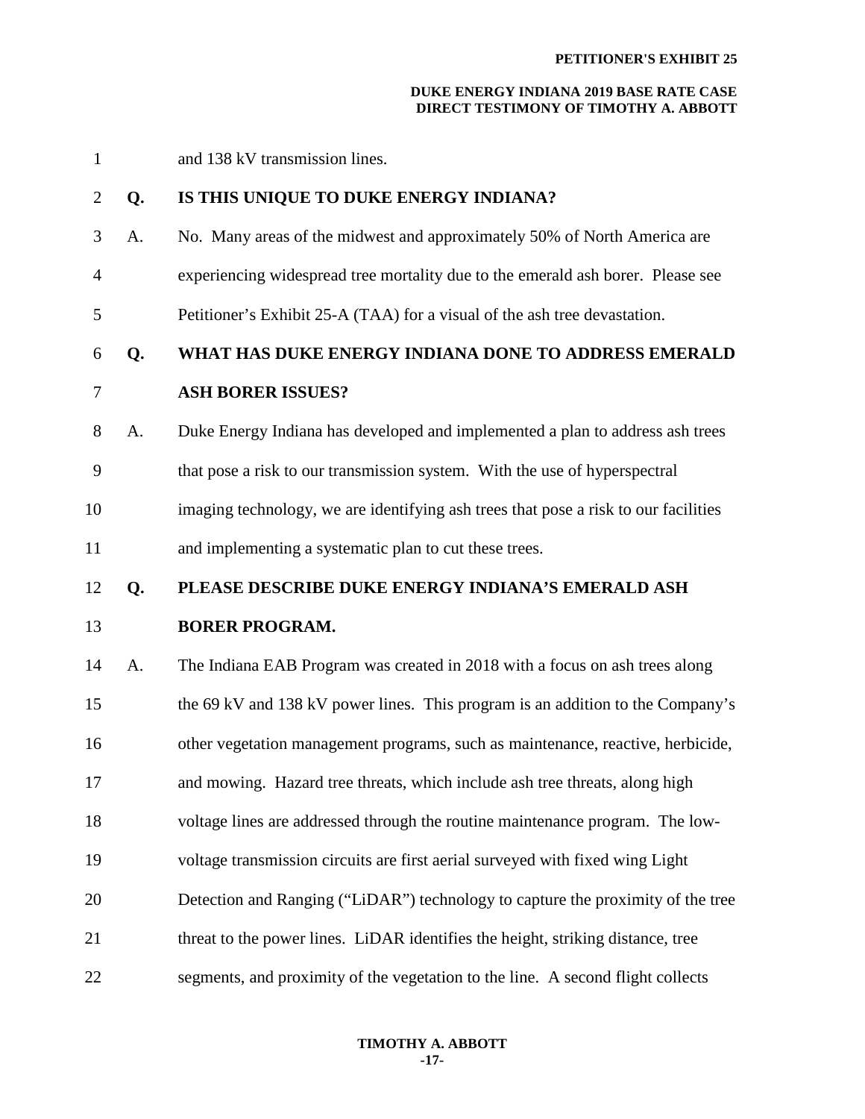1 and 138 kV transmission lines.

#### 2 **Q. IS THIS UNIQUE TO DUKE ENERGY INDIANA?**

3 A. No. Many areas of the midwest and approximately 50% of North America are

4 experiencing widespread tree mortality due to the emerald ash borer. Please see

5 Petitioner's Exhibit 25-A (TAA) for a visual of the ash tree devastation.

#### 6 **Q. WHAT HAS DUKE ENERGY INDIANA DONE TO ADDRESS EMERALD**

### 7 **ASH BORER ISSUES?**

8 A. Duke Energy Indiana has developed and implemented a plan to address ash trees

9 that pose a risk to our transmission system. With the use of hyperspectral

10 imaging technology, we are identifying ash trees that pose a risk to our facilities

11 and implementing a systematic plan to cut these trees.

#### 12 **Q. PLEASE DESCRIBE DUKE ENERGY INDIANA'S EMERALD ASH**

#### 13 **BORER PROGRAM.**

14 A. The Indiana EAB Program was created in 2018 with a focus on ash trees along 15 the 69 kV and 138 kV power lines. This program is an addition to the Company's 16 other vegetation management programs, such as maintenance, reactive, herbicide, 17 and mowing. Hazard tree threats, which include ash tree threats, along high 18 voltage lines are addressed through the routine maintenance program. The low-19 voltage transmission circuits are first aerial surveyed with fixed wing Light 20 Detection and Ranging ("LiDAR") technology to capture the proximity of the tree 21 threat to the power lines. LiDAR identifies the height, striking distance, tree

22 segments, and proximity of the vegetation to the line. A second flight collects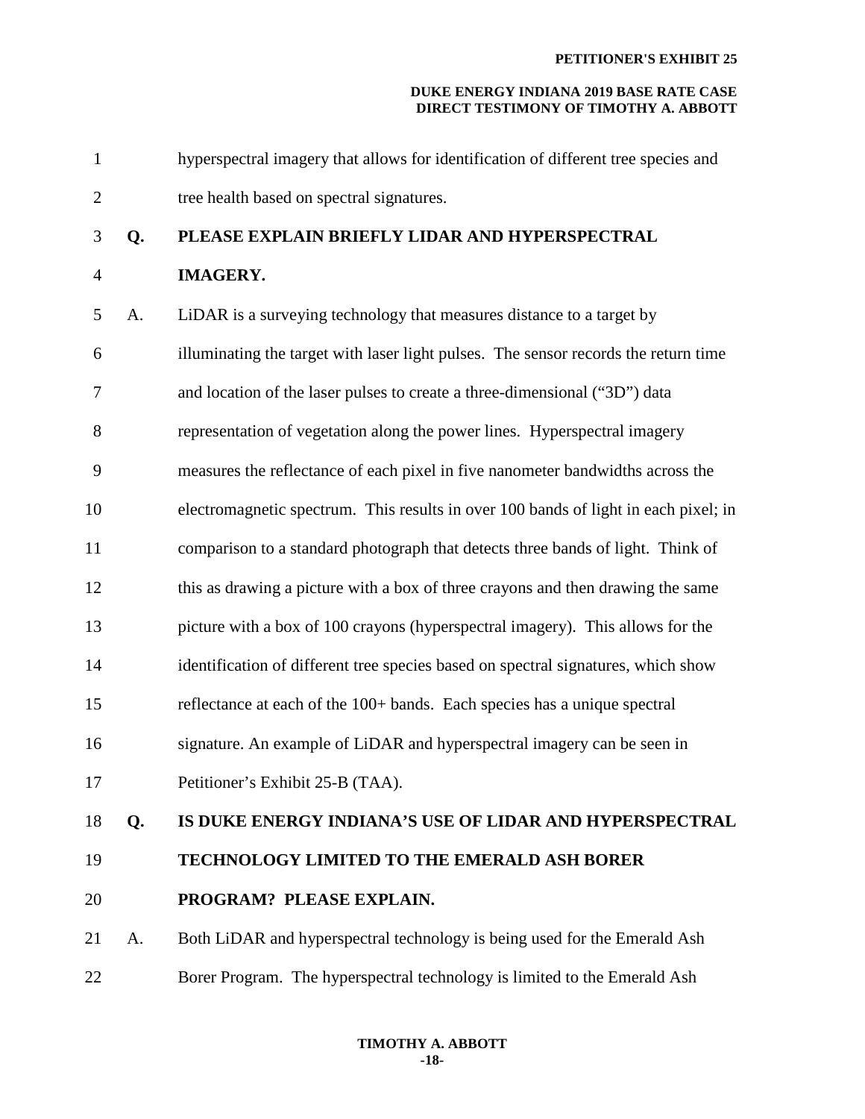1 hyperspectral imagery that allows for identification of different tree species and 2 tree health based on spectral signatures.

#### 3 **Q. PLEASE EXPLAIN BRIEFLY LIDAR AND HYPERSPECTRAL**

#### 4 **IMAGERY.**

- 5 A. LiDAR is a surveying technology that measures distance to a target by 6 illuminating the target with laser light pulses. The sensor records the return time 7 and location of the laser pulses to create a three-dimensional ("3D") data 8 representation of vegetation along the power lines. Hyperspectral imagery 9 measures the reflectance of each pixel in five nanometer bandwidths across the 10 electromagnetic spectrum. This results in over 100 bands of light in each pixel; in 11 comparison to a standard photograph that detects three bands of light. Think of 12 this as drawing a picture with a box of three crayons and then drawing the same 13 picture with a box of 100 crayons (hyperspectral imagery). This allows for the 14 identification of different tree species based on spectral signatures, which show 15 reflectance at each of the 100+ bands. Each species has a unique spectral 16 signature. An example of LiDAR and hyperspectral imagery can be seen in 17 Petitioner's Exhibit 25-B (TAA). 18 **Q. IS DUKE ENERGY INDIANA'S USE OF LIDAR AND HYPERSPECTRAL**
- 19 **TECHNOLOGY LIMITED TO THE EMERALD ASH BORER**

- 
- 20 **PROGRAM? PLEASE EXPLAIN.**
- 21 A. Both LiDAR and hyperspectral technology is being used for the Emerald Ash 22 Borer Program. The hyperspectral technology is limited to the Emerald Ash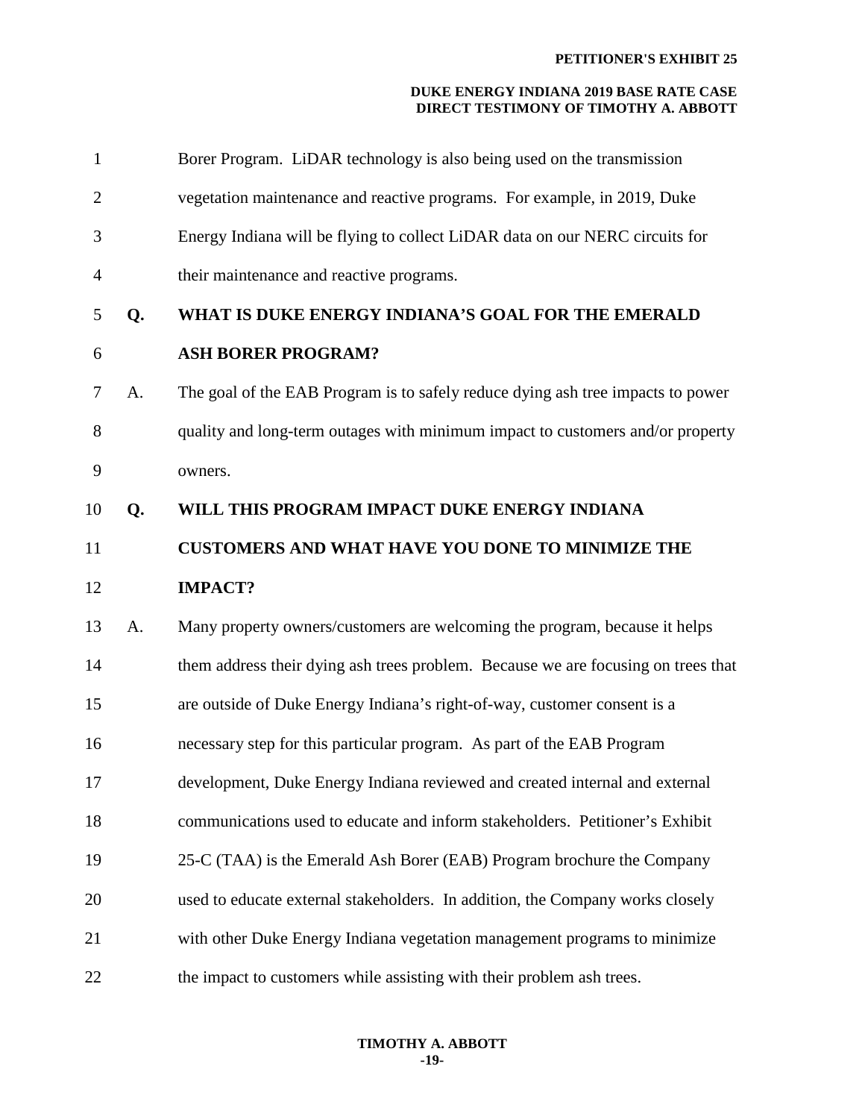| $\mathbf{1}$   |    | Borer Program. LiDAR technology is also being used on the transmission            |
|----------------|----|-----------------------------------------------------------------------------------|
| $\overline{2}$ |    | vegetation maintenance and reactive programs. For example, in 2019, Duke          |
| 3              |    | Energy Indiana will be flying to collect LiDAR data on our NERC circuits for      |
| $\overline{4}$ |    | their maintenance and reactive programs.                                          |
| 5              | Q. | WHAT IS DUKE ENERGY INDIANA'S GOAL FOR THE EMERALD                                |
| 6              |    | <b>ASH BORER PROGRAM?</b>                                                         |
| 7              | A. | The goal of the EAB Program is to safely reduce dying ash tree impacts to power   |
| 8              |    | quality and long-term outages with minimum impact to customers and/or property    |
| 9              |    | owners.                                                                           |
| 10             | Q. | WILL THIS PROGRAM IMPACT DUKE ENERGY INDIANA                                      |
| 11             |    | <b>CUSTOMERS AND WHAT HAVE YOU DONE TO MINIMIZE THE</b>                           |
| 12             |    | <b>IMPACT?</b>                                                                    |
|                |    |                                                                                   |
| 13             | A. | Many property owners/customers are welcoming the program, because it helps        |
| 14             |    | them address their dying ash trees problem. Because we are focusing on trees that |
| 15             |    | are outside of Duke Energy Indiana's right-of-way, customer consent is a          |
| 16             |    | necessary step for this particular program. As part of the EAB Program            |
| 17             |    | development, Duke Energy Indiana reviewed and created internal and external       |
| 18             |    | communications used to educate and inform stakeholders. Petitioner's Exhibit      |
| 19             |    | 25-C (TAA) is the Emerald Ash Borer (EAB) Program brochure the Company            |
| 20             |    | used to educate external stakeholders. In addition, the Company works closely     |
| 21             |    | with other Duke Energy Indiana vegetation management programs to minimize         |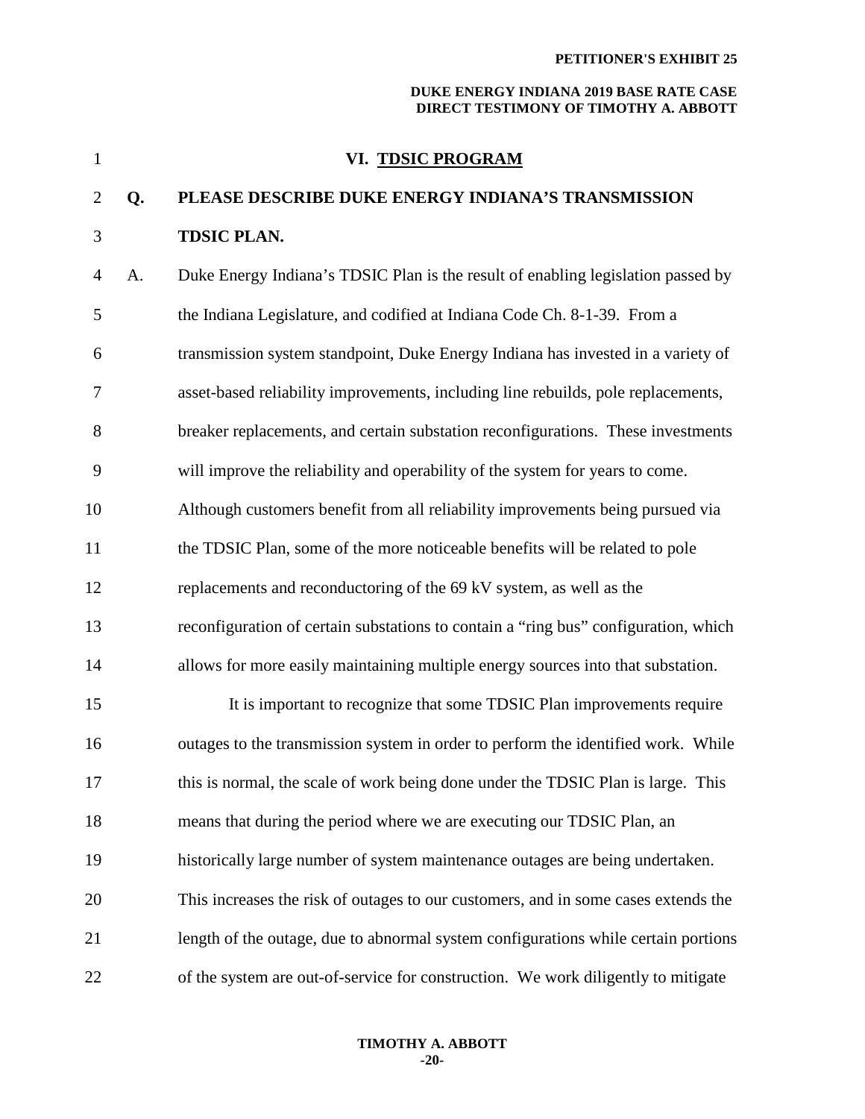| $\mathbf{1}$   |    | VI. TDSIC PROGRAM                                                                   |
|----------------|----|-------------------------------------------------------------------------------------|
| $\overline{2}$ | Q. | PLEASE DESCRIBE DUKE ENERGY INDIANA'S TRANSMISSION                                  |
| 3              |    | <b>TDSIC PLAN.</b>                                                                  |
| 4              | A. | Duke Energy Indiana's TDSIC Plan is the result of enabling legislation passed by    |
| 5              |    | the Indiana Legislature, and codified at Indiana Code Ch. 8-1-39. From a            |
| 6              |    | transmission system standpoint, Duke Energy Indiana has invested in a variety of    |
| 7              |    | asset-based reliability improvements, including line rebuilds, pole replacements,   |
| 8              |    | breaker replacements, and certain substation reconfigurations. These investments    |
| 9              |    | will improve the reliability and operability of the system for years to come.       |
| 10             |    | Although customers benefit from all reliability improvements being pursued via      |
| 11             |    | the TDSIC Plan, some of the more noticeable benefits will be related to pole        |
| 12             |    | replacements and reconductoring of the 69 kV system, as well as the                 |
| 13             |    | reconfiguration of certain substations to contain a "ring bus" configuration, which |
| 14             |    | allows for more easily maintaining multiple energy sources into that substation.    |
| 15             |    | It is important to recognize that some TDSIC Plan improvements require              |
| 16             |    | outages to the transmission system in order to perform the identified work. While   |
| 17             |    | this is normal, the scale of work being done under the TDSIC Plan is large. This    |
| 18             |    | means that during the period where we are executing our TDSIC Plan, an              |
| 19             |    | historically large number of system maintenance outages are being undertaken.       |
| 20             |    | This increases the risk of outages to our customers, and in some cases extends the  |
| 21             |    | length of the outage, due to abnormal system configurations while certain portions  |
| 22             |    | of the system are out-of-service for construction. We work diligently to mitigate   |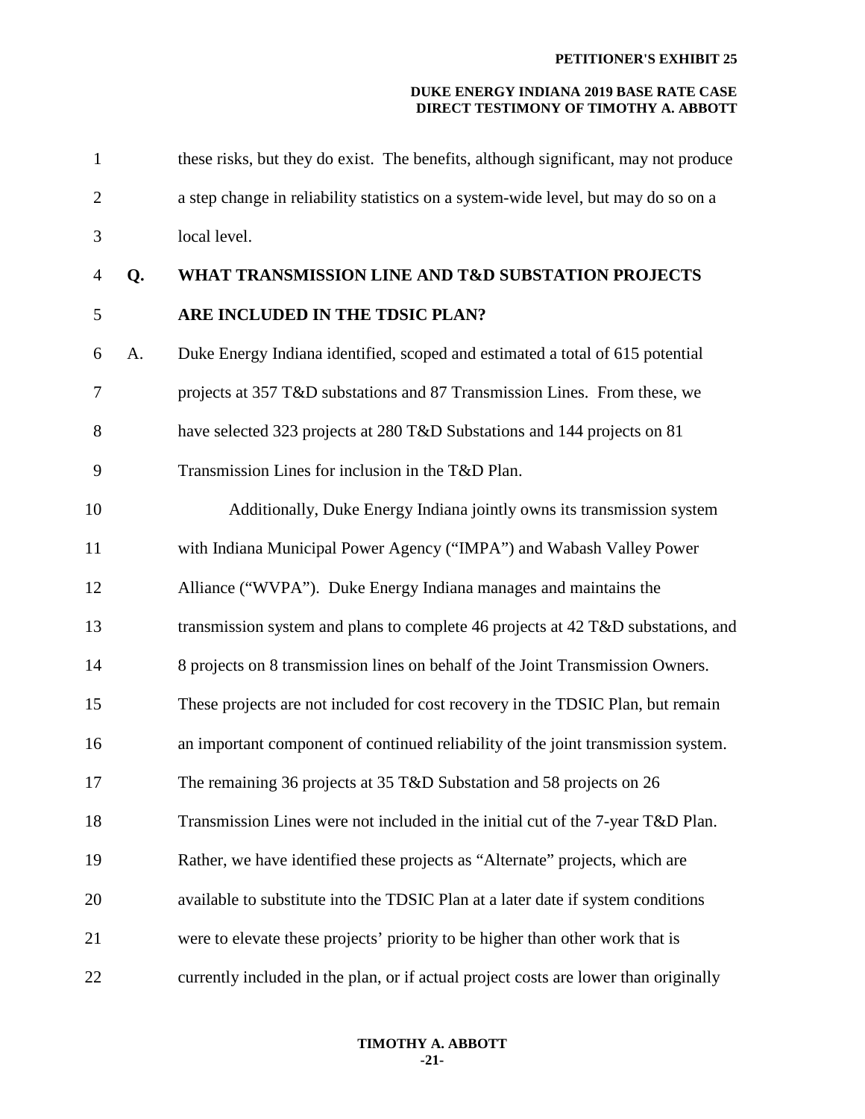| $\mathbf{1}$   |    | these risks, but they do exist. The benefits, although significant, may not produce  |
|----------------|----|--------------------------------------------------------------------------------------|
| $\overline{2}$ |    | a step change in reliability statistics on a system-wide level, but may do so on a   |
| 3              |    | local level.                                                                         |
| $\overline{4}$ | Q. | WHAT TRANSMISSION LINE AND T&D SUBSTATION PROJECTS                                   |
| 5              |    | ARE INCLUDED IN THE TDSIC PLAN?                                                      |
| 6              | A. | Duke Energy Indiana identified, scoped and estimated a total of 615 potential        |
| 7              |    | projects at 357 T&D substations and 87 Transmission Lines. From these, we            |
| 8              |    | have selected 323 projects at 280 T&D Substations and 144 projects on 81             |
| 9              |    | Transmission Lines for inclusion in the T&D Plan.                                    |
| 10             |    | Additionally, Duke Energy Indiana jointly owns its transmission system               |
| 11             |    | with Indiana Municipal Power Agency ("IMPA") and Wabash Valley Power                 |
| 12             |    | Alliance ("WVPA"). Duke Energy Indiana manages and maintains the                     |
| 13             |    | transmission system and plans to complete 46 projects at 42 T&D substations, and     |
| 14             |    | 8 projects on 8 transmission lines on behalf of the Joint Transmission Owners.       |
| 15             |    | These projects are not included for cost recovery in the TDSIC Plan, but remain      |
| 16             |    | an important component of continued reliability of the joint transmission system.    |
| 17             |    | The remaining 36 projects at 35 T&D Substation and 58 projects on 26                 |
| 18             |    | Transmission Lines were not included in the initial cut of the 7-year T&D Plan.      |
| 19             |    | Rather, we have identified these projects as "Alternate" projects, which are         |
| 20             |    | available to substitute into the TDSIC Plan at a later date if system conditions     |
| 21             |    | were to elevate these projects' priority to be higher than other work that is        |
| 22             |    | currently included in the plan, or if actual project costs are lower than originally |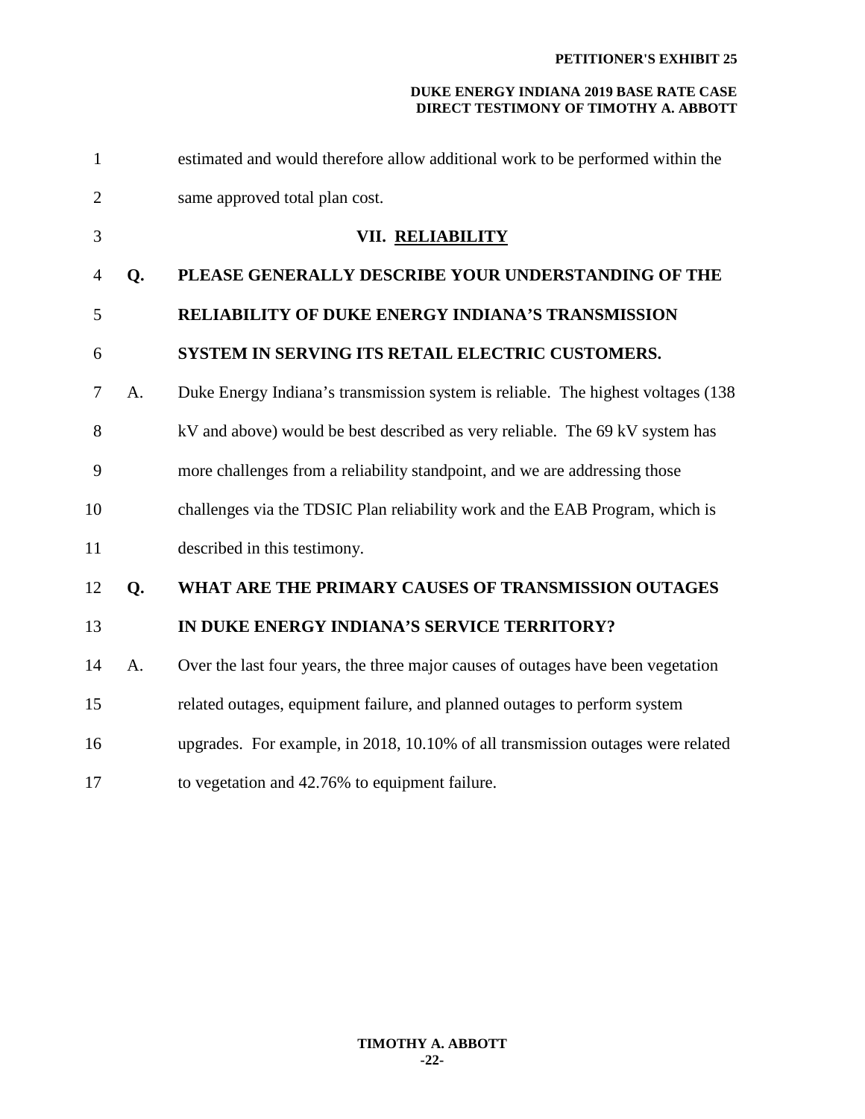| $\mathbf{1}$   |    | estimated and would therefore allow additional work to be performed within the    |
|----------------|----|-----------------------------------------------------------------------------------|
| $\overline{2}$ |    | same approved total plan cost.                                                    |
| 3              |    | VII. RELIABILITY                                                                  |
| 4              | Q. | PLEASE GENERALLY DESCRIBE YOUR UNDERSTANDING OF THE                               |
| 5              |    | <b>RELIABILITY OF DUKE ENERGY INDIANA'S TRANSMISSION</b>                          |
| 6              |    | SYSTEM IN SERVING ITS RETAIL ELECTRIC CUSTOMERS.                                  |
| 7              | A. | Duke Energy Indiana's transmission system is reliable. The highest voltages (138) |
| 8              |    | kV and above) would be best described as very reliable. The 69 kV system has      |
| 9              |    | more challenges from a reliability standpoint, and we are addressing those        |
| 10             |    | challenges via the TDSIC Plan reliability work and the EAB Program, which is      |
| 11             |    | described in this testimony.                                                      |
| 12             | Q. | WHAT ARE THE PRIMARY CAUSES OF TRANSMISSION OUTAGES                               |
| 13             |    | IN DUKE ENERGY INDIANA'S SERVICE TERRITORY?                                       |
| 14             | A. | Over the last four years, the three major causes of outages have been vegetation  |
| 15             |    | related outages, equipment failure, and planned outages to perform system         |
| 16             |    | upgrades. For example, in 2018, 10.10% of all transmission outages were related   |
| 17             |    | to vegetation and 42.76% to equipment failure.                                    |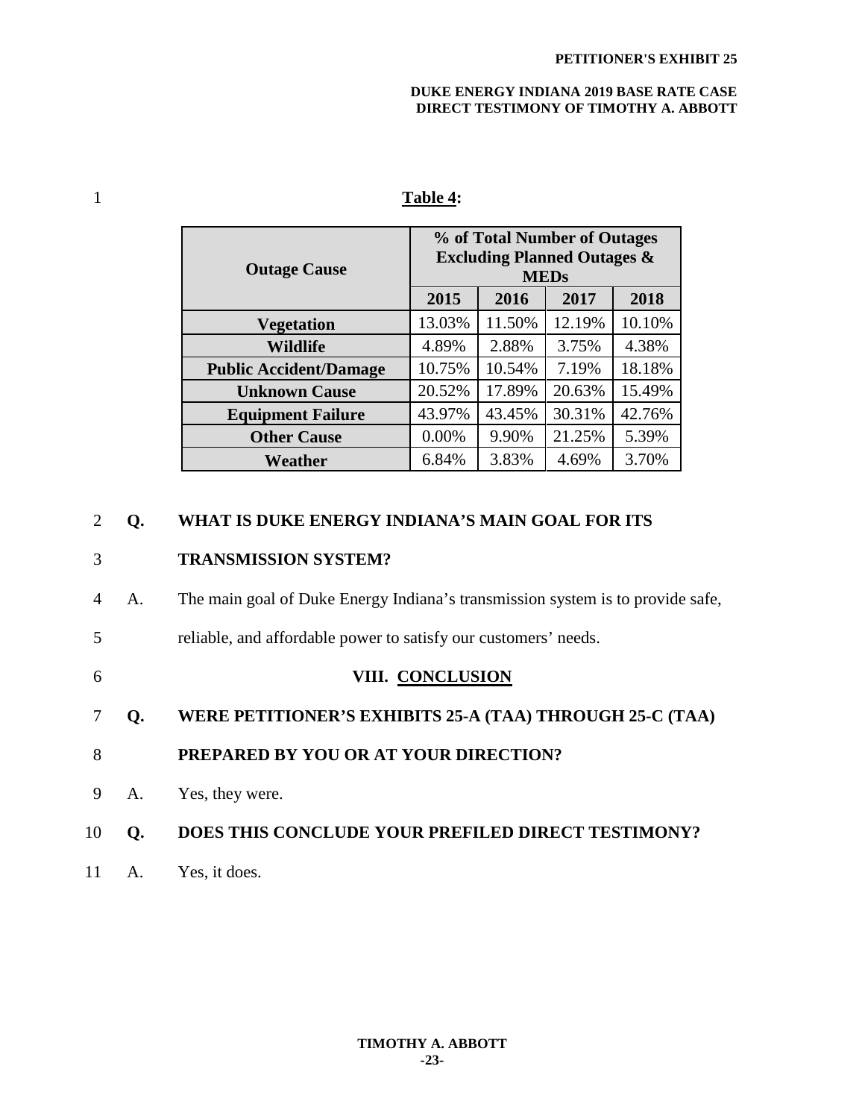| <b>Outage Cause</b>           | % of Total Number of Outages<br><b>Excluding Planned Outages &amp;</b><br><b>MEDs</b> |        |        |        |
|-------------------------------|---------------------------------------------------------------------------------------|--------|--------|--------|
|                               | 2015                                                                                  | 2016   | 2017   | 2018   |
| <b>Vegetation</b>             | 13.03%                                                                                | 11.50% | 12.19% | 10.10% |
| <b>Wildlife</b>               | 4.89%                                                                                 | 2.88%  | 3.75%  | 4.38%  |
| <b>Public Accident/Damage</b> | 10.75%                                                                                | 10.54% | 7.19%  | 18.18% |
| <b>Unknown Cause</b>          | 20.52%                                                                                | 17.89% | 20.63% | 15.49% |
| <b>Equipment Failure</b>      | 43.97%                                                                                | 43.45% | 30.31% | 42.76% |
| <b>Other Cause</b>            | 0.00%                                                                                 | 9.90%  | 21.25% | 5.39%  |
| Weather                       | 6.84%                                                                                 | 3.83%  | 4.69%  | 3.70%  |

#### 1 **Table 4:**

#### 2 **Q. WHAT IS DUKE ENERGY INDIANA'S MAIN GOAL FOR ITS**

#### 3 **TRANSMISSION SYSTEM?**

- 4 A. The main goal of Duke Energy Indiana's transmission system is to provide safe,
- 5 reliable, and affordable power to satisfy our customers' needs.
- 6 **VIII. CONCLUSION**
- 7 **Q. WERE PETITIONER'S EXHIBITS 25-A (TAA) THROUGH 25-C (TAA)**
- 8 **PREPARED BY YOU OR AT YOUR DIRECTION?**
- 9 A. Yes, they were.

#### 10 **Q. DOES THIS CONCLUDE YOUR PREFILED DIRECT TESTIMONY?**

11 A. Yes, it does.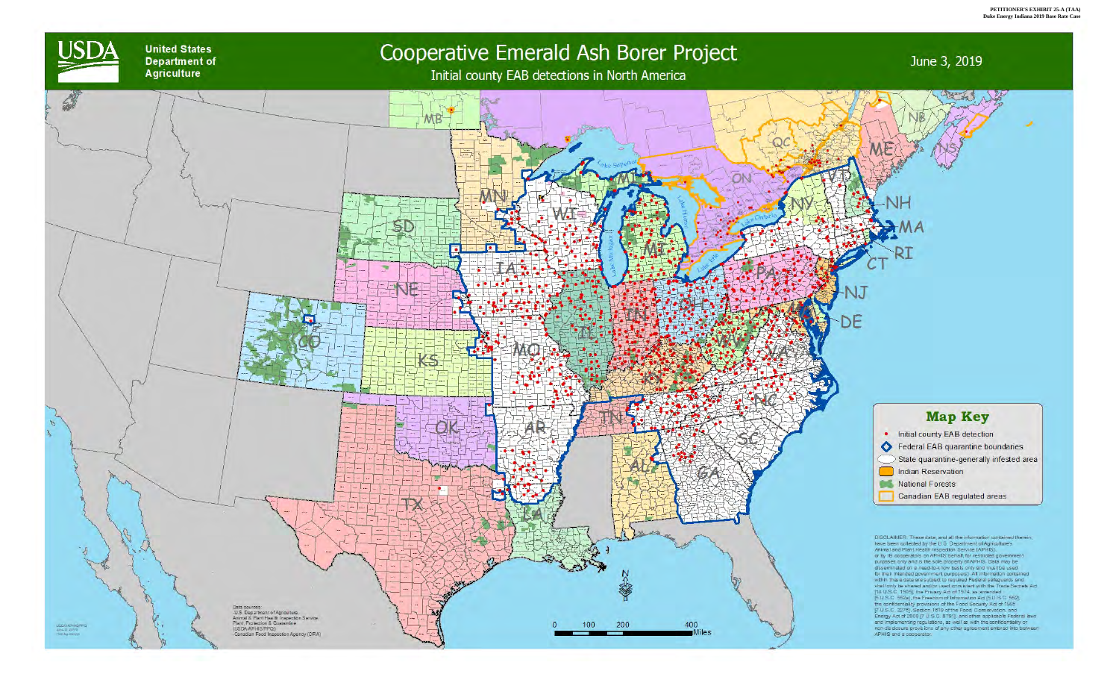

**United States Department of Agriculture** 



# Cooperative Emerald Ash Borer Project

# Initial county EAB detections in North America

# June 3, 2019

State quarantine-generally infested area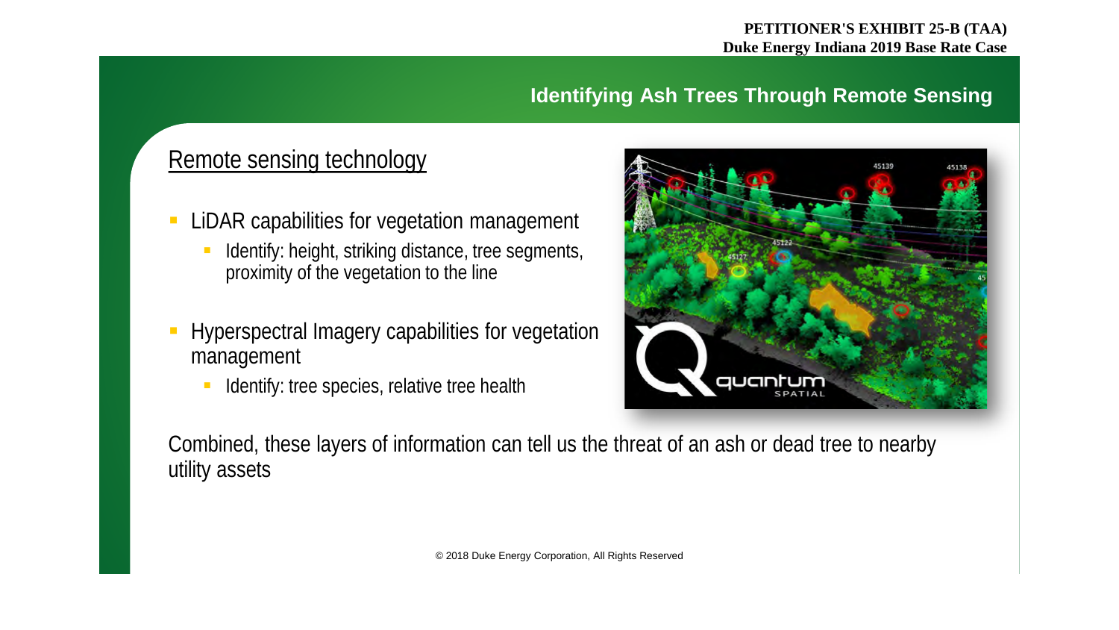#### **PETITIONER'S EXHIBIT 25-B (TAA) Duke Energy Indiana 2019 Base Rate Case**

#### **Identifying Ash Trees Through Remote Sensing**

### Remote sensing technology

- LiDAR capabilities for vegetation management
	- Identify: height, striking distance, tree segments, proximity of the vegetation to the line
- Hyperspectral Imagery capabilities for vegetation management
	- I Identify: tree species, relative tree health



Combined, these layers of information can tell us the threat of an ash or dead tree to nearby utility assets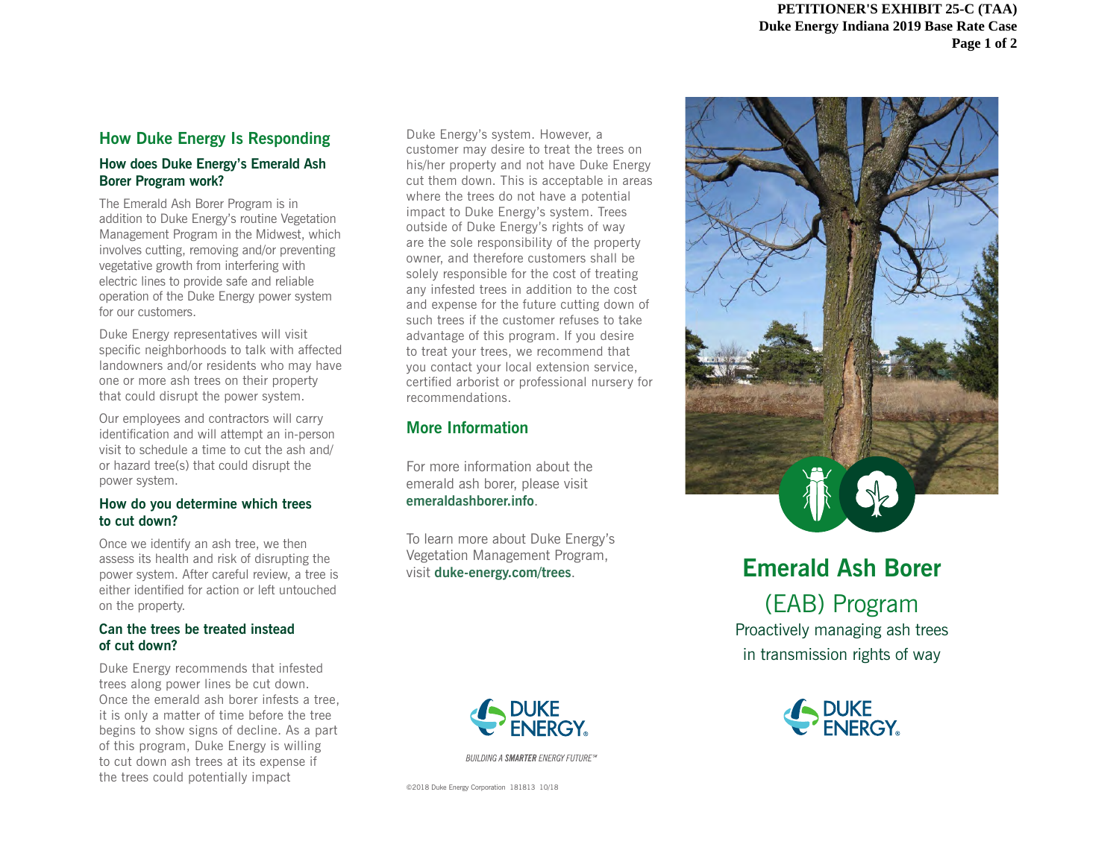#### **How Duke Energy Is Responding**

#### **How does Duke Energy's Emerald Ash Borer Program work?**

The Emerald Ash Borer Program is in addition to Duke Energy's routine Vegetation Management Program in the Midwest, which involves cutting, removing and/or preventing vegetative growth from interfering with electric lines to provide safe and reliable operation of the Duke Energy power system for our customers.

Duke Energy representatives will visit specific neighborhoods to talk with affected landowners and/or residents who may have one or more ash trees on their property that could disrupt the power system.

Our employees and contractors will carry identification and will attempt an in-person visit to schedule a time to cut the ash and/ or hazard tree(s) that could disrupt the power system.

#### **How do you determine which trees to cut down?**

Once we identify an ash tree, we then assess its health and risk of disrupting the power system. After careful review, a tree is either identified for action or left untouched on the property.

#### **Can the trees be treated instead of cut down?**

Duke Energy recommends that infested trees along power lines be cut down. Once the emerald ash borer infests a tree, it is only a matter of time before the tree begins to show signs of decline. As a part of this program, Duke Energy is willing to cut down ash trees at its expense if the trees could potentially impact

Duke Energy's system. However, a customer may desire to treat the trees on his/her property and not have Duke Energy cut them down. This is acceptable in areas where the trees do not have a potential impact to Duke Energy's system. Trees outside of Duke Energy's rights of way are the sole responsibility of the property owner, and therefore customers shall be solely responsible for the cost of treating any infested trees in addition to the cost and expense for the future cutting down of such trees if the customer refuses to take advantage of this program. If you desire to treat your trees, we recommend that you contact your local extension service, certified arborist or professional nursery for recommendations.

#### **More Information**

For more information about the emerald ash borer, please visit **emeraldashborer.info**.

To learn more about Duke Energy's Vegetation Management Program, visit **duke-energy.com/trees**.



**BUILDING A SMARTER ENERGY FUTURE**<sup>336</sup>

©2018 Duke Energy Corporation 181813 10/18



## **Emerald Ash Borer**  (EAB) Program

Proactively managing ash trees in transmission rights of way

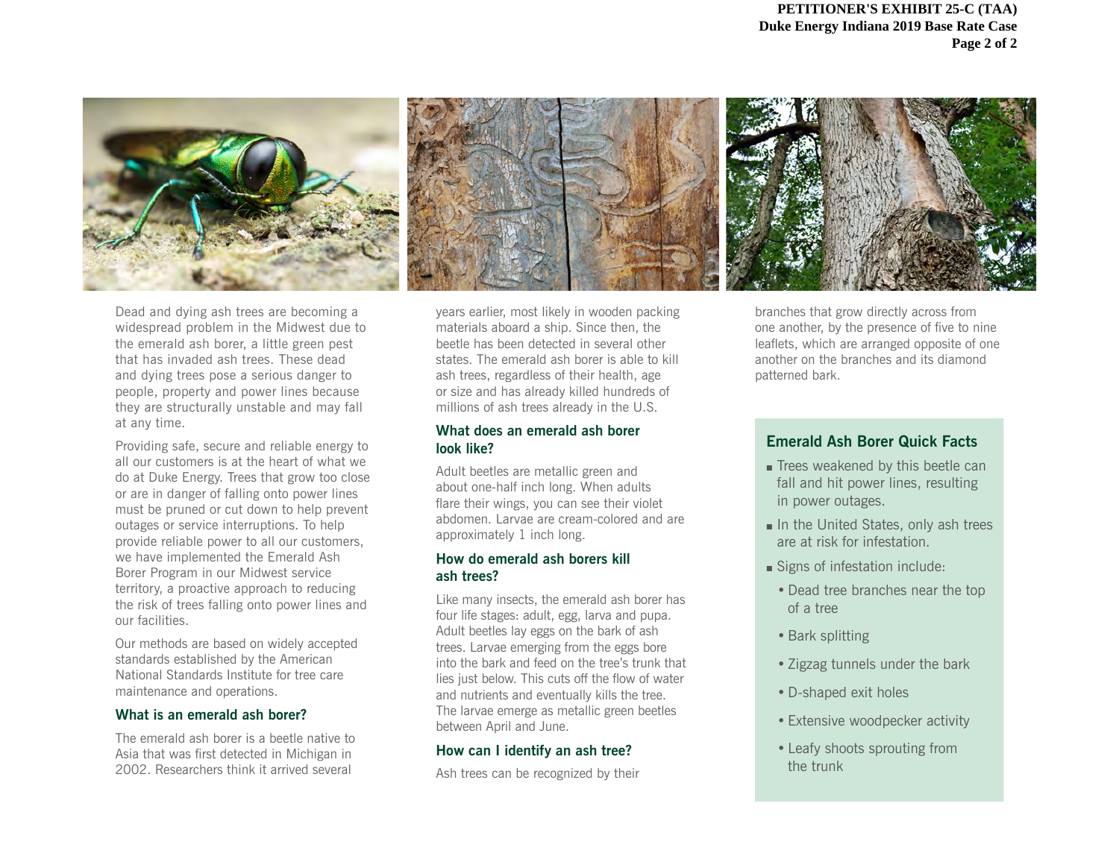

Dead and dying ash trees are becoming a widespread problem in the Midwest due to the emerald ash borer, a little green pest that has invaded ash trees. These dead and dying trees pose a serious danger to people, property and power lines because they are structurally unstable and may fall at any time.

Providing safe, secure and reliable energy to all our customers is at the heart of what we do at Duke Energy. Trees that grow too close or are in danger of falling onto power lines must be pruned or cut down to help prevent outages or service interruptions. To help provide reliable power to all our customers, we have implemented the Emerald Ash Borer Program in our Midwest service territory, a proactive approach to reducing the risk of trees falling onto power lines and our facilities.

Our methods are based on widely accepted standards established by the American National Standards Institute for tree care maintenance and operations.

#### **What is an emerald ash borer?**

The emerald ash borer is a beetle native to Asia that was first detected in Michigan in 2002. Researchers think it arrived several

years earlier, most likely in wooden packing materials aboard a ship. Since then, the beetle has been detected in several other states. The emerald ash borer is able to kill ash trees, regardless of their health, age or size and has already killed hundreds of millions of ash trees already in the U.S.

#### **What does an emerald ash borer look like?**

Adult beetles are metallic green and about one-half inch long. When adults flare their wings, you can see their violet abdomen. Larvae are cream-colored and are approximately 1 inch long.

#### **How do emerald ash borers kill ash trees?**

Like many insects, the emerald ash borer has four life stages: adult, egg, larva and pupa. Adult beetles lay eggs on the bark of ash trees. Larvae emerging from the eggs bore into the bark and feed on the tree's trunk that lies just below. This cuts off the flow of water and nutrients and eventually kills the tree. The larvae emerge as metallic green beetles between April and June.

#### **How can I identify an ash tree?**

Ash trees can be recognized by their

branches that grow directly across from one another, by the presence of five to nine leaflets, which are arranged opposite of one another on the branches and its diamond patterned bark.

#### **Emerald Ash Borer Quick Facts**

- **Executery** Trees weakened by this beetle can fall and hit power lines, resulting in power outages.
- $\blacksquare$  In the United States, only ash trees are at risk for infestation.
- Signs of infestation include:
	- •Dead tree branches near the top of a tree
	- •Bark splitting
	- Zigzag tunnels under the bark
	- •D-shaped exit holes
	- Extensive woodpecker activity
	- Leafy shoots sprouting from the trunk